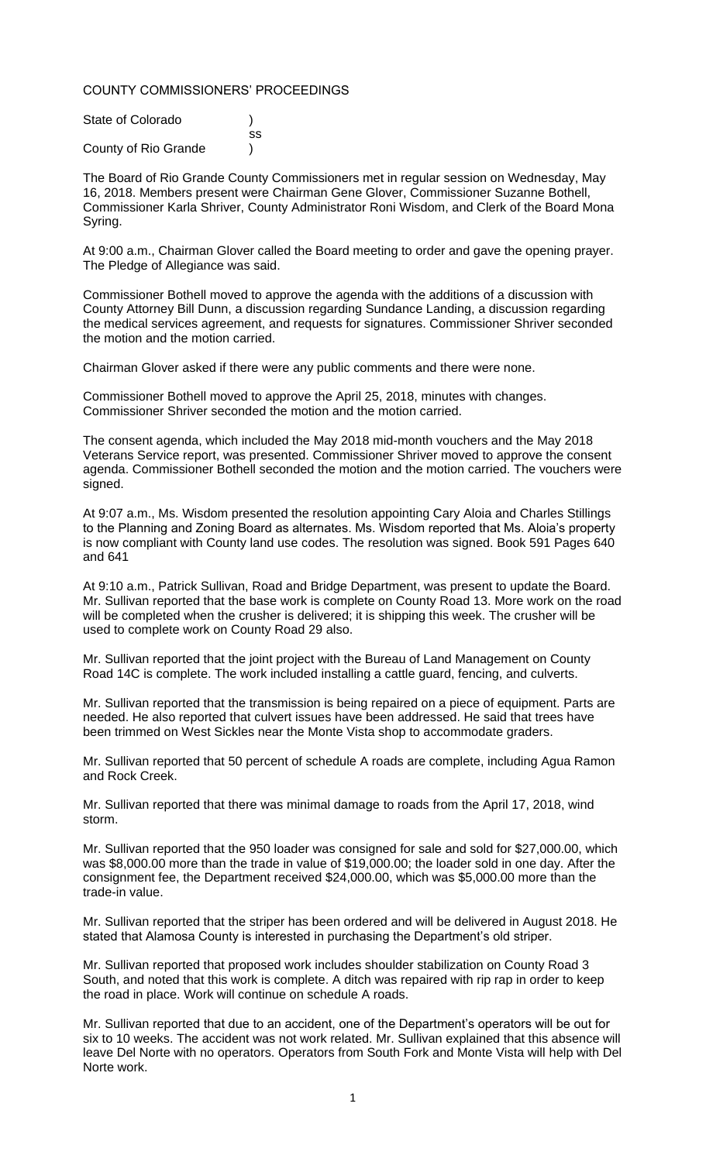## COUNTY COMMISSIONERS' PROCEEDINGS

| State of Colorado    |    |
|----------------------|----|
|                      | SS |
| County of Rio Grande |    |

The Board of Rio Grande County Commissioners met in regular session on Wednesday, May 16, 2018. Members present were Chairman Gene Glover, Commissioner Suzanne Bothell, Commissioner Karla Shriver, County Administrator Roni Wisdom, and Clerk of the Board Mona Syring.

At 9:00 a.m., Chairman Glover called the Board meeting to order and gave the opening prayer. The Pledge of Allegiance was said.

Commissioner Bothell moved to approve the agenda with the additions of a discussion with County Attorney Bill Dunn, a discussion regarding Sundance Landing, a discussion regarding the medical services agreement, and requests for signatures. Commissioner Shriver seconded the motion and the motion carried.

Chairman Glover asked if there were any public comments and there were none.

Commissioner Bothell moved to approve the April 25, 2018, minutes with changes. Commissioner Shriver seconded the motion and the motion carried.

The consent agenda, which included the May 2018 mid-month vouchers and the May 2018 Veterans Service report, was presented. Commissioner Shriver moved to approve the consent agenda. Commissioner Bothell seconded the motion and the motion carried. The vouchers were signed.

At 9:07 a.m., Ms. Wisdom presented the resolution appointing Cary Aloia and Charles Stillings to the Planning and Zoning Board as alternates. Ms. Wisdom reported that Ms. Aloia's property is now compliant with County land use codes. The resolution was signed. Book 591 Pages 640 and 641

At 9:10 a.m., Patrick Sullivan, Road and Bridge Department, was present to update the Board. Mr. Sullivan reported that the base work is complete on County Road 13. More work on the road will be completed when the crusher is delivered; it is shipping this week. The crusher will be used to complete work on County Road 29 also.

Mr. Sullivan reported that the joint project with the Bureau of Land Management on County Road 14C is complete. The work included installing a cattle guard, fencing, and culverts.

Mr. Sullivan reported that the transmission is being repaired on a piece of equipment. Parts are needed. He also reported that culvert issues have been addressed. He said that trees have been trimmed on West Sickles near the Monte Vista shop to accommodate graders.

Mr. Sullivan reported that 50 percent of schedule A roads are complete, including Agua Ramon and Rock Creek.

Mr. Sullivan reported that there was minimal damage to roads from the April 17, 2018, wind storm.

Mr. Sullivan reported that the 950 loader was consigned for sale and sold for \$27,000.00, which was \$8,000.00 more than the trade in value of \$19,000.00; the loader sold in one day. After the consignment fee, the Department received \$24,000.00, which was \$5,000.00 more than the trade-in value.

Mr. Sullivan reported that the striper has been ordered and will be delivered in August 2018. He stated that Alamosa County is interested in purchasing the Department's old striper.

Mr. Sullivan reported that proposed work includes shoulder stabilization on County Road 3 South, and noted that this work is complete. A ditch was repaired with rip rap in order to keep the road in place. Work will continue on schedule A roads.

Mr. Sullivan reported that due to an accident, one of the Department's operators will be out for six to 10 weeks. The accident was not work related. Mr. Sullivan explained that this absence will leave Del Norte with no operators. Operators from South Fork and Monte Vista will help with Del Norte work.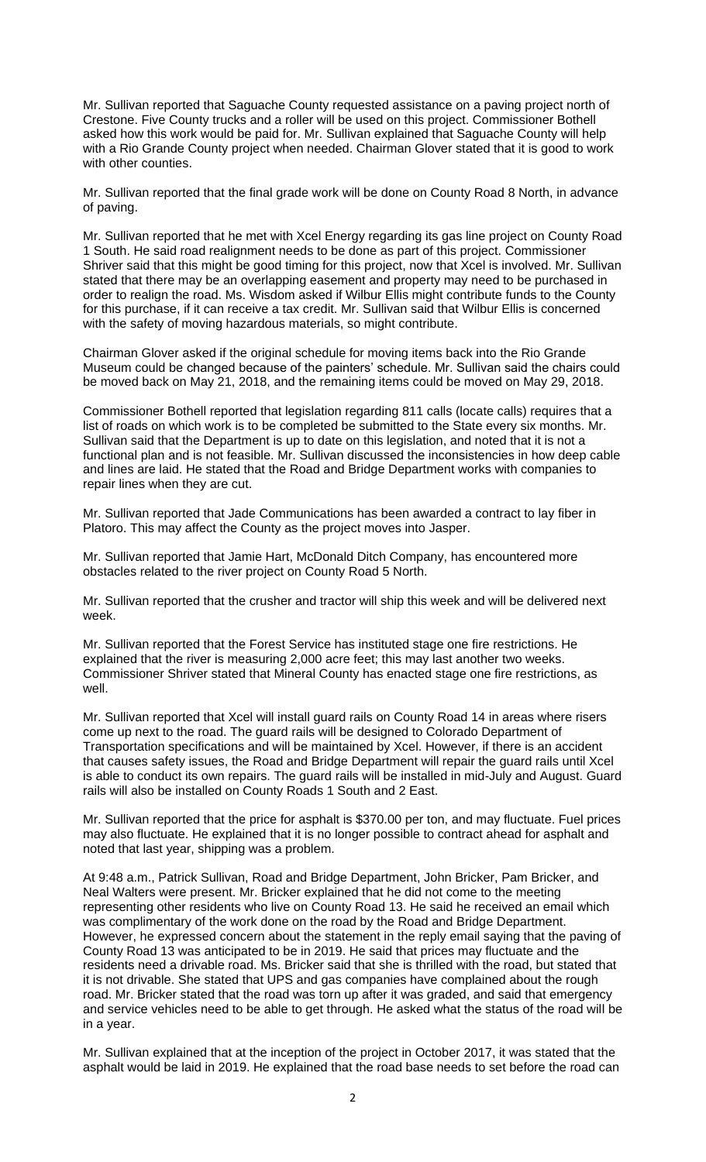Mr. Sullivan reported that Saguache County requested assistance on a paving project north of Crestone. Five County trucks and a roller will be used on this project. Commissioner Bothell asked how this work would be paid for. Mr. Sullivan explained that Saguache County will help with a Rio Grande County project when needed. Chairman Glover stated that it is good to work with other counties.

Mr. Sullivan reported that the final grade work will be done on County Road 8 North, in advance of paving.

Mr. Sullivan reported that he met with Xcel Energy regarding its gas line project on County Road 1 South. He said road realignment needs to be done as part of this project. Commissioner Shriver said that this might be good timing for this project, now that Xcel is involved. Mr. Sullivan stated that there may be an overlapping easement and property may need to be purchased in order to realign the road. Ms. Wisdom asked if Wilbur Ellis might contribute funds to the County for this purchase, if it can receive a tax credit. Mr. Sullivan said that Wilbur Ellis is concerned with the safety of moving hazardous materials, so might contribute.

Chairman Glover asked if the original schedule for moving items back into the Rio Grande Museum could be changed because of the painters' schedule. Mr. Sullivan said the chairs could be moved back on May 21, 2018, and the remaining items could be moved on May 29, 2018.

Commissioner Bothell reported that legislation regarding 811 calls (locate calls) requires that a list of roads on which work is to be completed be submitted to the State every six months. Mr. Sullivan said that the Department is up to date on this legislation, and noted that it is not a functional plan and is not feasible. Mr. Sullivan discussed the inconsistencies in how deep cable and lines are laid. He stated that the Road and Bridge Department works with companies to repair lines when they are cut.

Mr. Sullivan reported that Jade Communications has been awarded a contract to lay fiber in Platoro. This may affect the County as the project moves into Jasper.

Mr. Sullivan reported that Jamie Hart, McDonald Ditch Company, has encountered more obstacles related to the river project on County Road 5 North.

Mr. Sullivan reported that the crusher and tractor will ship this week and will be delivered next week.

Mr. Sullivan reported that the Forest Service has instituted stage one fire restrictions. He explained that the river is measuring 2,000 acre feet; this may last another two weeks. Commissioner Shriver stated that Mineral County has enacted stage one fire restrictions, as well.

Mr. Sullivan reported that Xcel will install guard rails on County Road 14 in areas where risers come up next to the road. The guard rails will be designed to Colorado Department of Transportation specifications and will be maintained by Xcel. However, if there is an accident that causes safety issues, the Road and Bridge Department will repair the guard rails until Xcel is able to conduct its own repairs. The guard rails will be installed in mid-July and August. Guard rails will also be installed on County Roads 1 South and 2 East.

Mr. Sullivan reported that the price for asphalt is \$370.00 per ton, and may fluctuate. Fuel prices may also fluctuate. He explained that it is no longer possible to contract ahead for asphalt and noted that last year, shipping was a problem.

At 9:48 a.m., Patrick Sullivan, Road and Bridge Department, John Bricker, Pam Bricker, and Neal Walters were present. Mr. Bricker explained that he did not come to the meeting representing other residents who live on County Road 13. He said he received an email which was complimentary of the work done on the road by the Road and Bridge Department. However, he expressed concern about the statement in the reply email saying that the paving of County Road 13 was anticipated to be in 2019. He said that prices may fluctuate and the residents need a drivable road. Ms. Bricker said that she is thrilled with the road, but stated that it is not drivable. She stated that UPS and gas companies have complained about the rough road. Mr. Bricker stated that the road was torn up after it was graded, and said that emergency and service vehicles need to be able to get through. He asked what the status of the road will be in a year.

Mr. Sullivan explained that at the inception of the project in October 2017, it was stated that the asphalt would be laid in 2019. He explained that the road base needs to set before the road can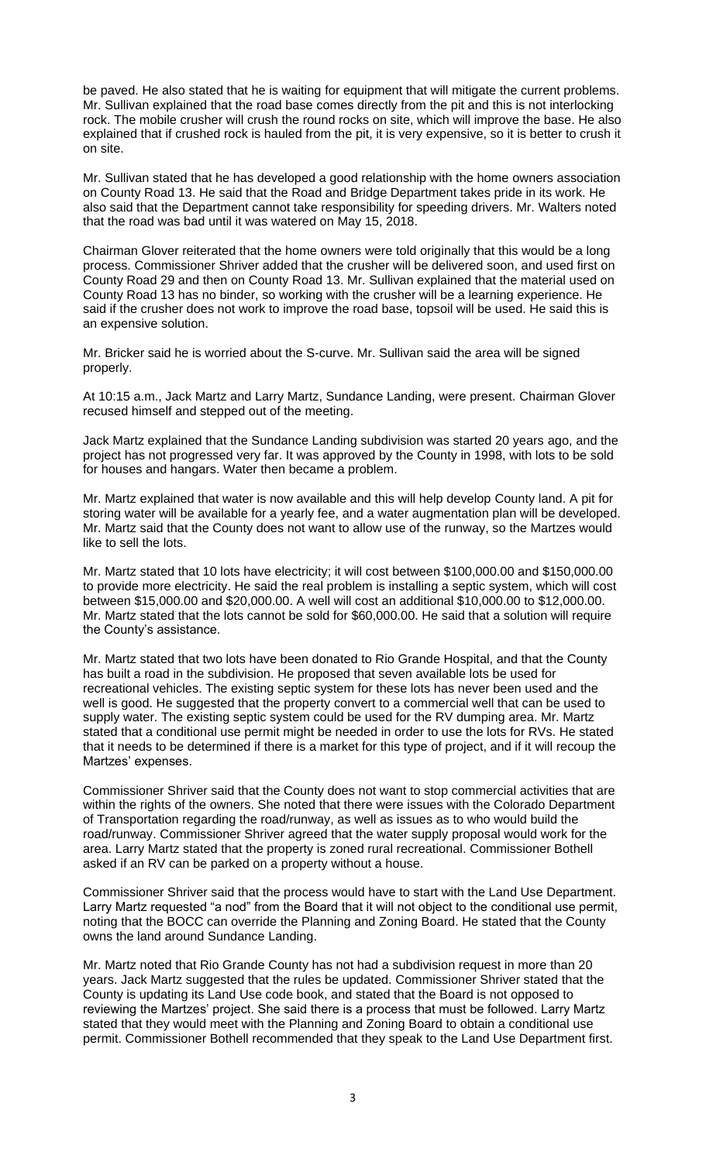be paved. He also stated that he is waiting for equipment that will mitigate the current problems. Mr. Sullivan explained that the road base comes directly from the pit and this is not interlocking rock. The mobile crusher will crush the round rocks on site, which will improve the base. He also explained that if crushed rock is hauled from the pit, it is very expensive, so it is better to crush it on site.

Mr. Sullivan stated that he has developed a good relationship with the home owners association on County Road 13. He said that the Road and Bridge Department takes pride in its work. He also said that the Department cannot take responsibility for speeding drivers. Mr. Walters noted that the road was bad until it was watered on May 15, 2018.

Chairman Glover reiterated that the home owners were told originally that this would be a long process. Commissioner Shriver added that the crusher will be delivered soon, and used first on County Road 29 and then on County Road 13. Mr. Sullivan explained that the material used on County Road 13 has no binder, so working with the crusher will be a learning experience. He said if the crusher does not work to improve the road base, topsoil will be used. He said this is an expensive solution.

Mr. Bricker said he is worried about the S-curve. Mr. Sullivan said the area will be signed properly.

At 10:15 a.m., Jack Martz and Larry Martz, Sundance Landing, were present. Chairman Glover recused himself and stepped out of the meeting.

Jack Martz explained that the Sundance Landing subdivision was started 20 years ago, and the project has not progressed very far. It was approved by the County in 1998, with lots to be sold for houses and hangars. Water then became a problem.

Mr. Martz explained that water is now available and this will help develop County land. A pit for storing water will be available for a yearly fee, and a water augmentation plan will be developed. Mr. Martz said that the County does not want to allow use of the runway, so the Martzes would like to sell the lots.

Mr. Martz stated that 10 lots have electricity; it will cost between \$100,000.00 and \$150,000.00 to provide more electricity. He said the real problem is installing a septic system, which will cost between \$15,000.00 and \$20,000.00. A well will cost an additional \$10,000.00 to \$12,000.00. Mr. Martz stated that the lots cannot be sold for \$60,000.00. He said that a solution will require the County's assistance.

Mr. Martz stated that two lots have been donated to Rio Grande Hospital, and that the County has built a road in the subdivision. He proposed that seven available lots be used for recreational vehicles. The existing septic system for these lots has never been used and the well is good. He suggested that the property convert to a commercial well that can be used to supply water. The existing septic system could be used for the RV dumping area. Mr. Martz stated that a conditional use permit might be needed in order to use the lots for RVs. He stated that it needs to be determined if there is a market for this type of project, and if it will recoup the Martzes' expenses.

Commissioner Shriver said that the County does not want to stop commercial activities that are within the rights of the owners. She noted that there were issues with the Colorado Department of Transportation regarding the road/runway, as well as issues as to who would build the road/runway. Commissioner Shriver agreed that the water supply proposal would work for the area. Larry Martz stated that the property is zoned rural recreational. Commissioner Bothell asked if an RV can be parked on a property without a house.

Commissioner Shriver said that the process would have to start with the Land Use Department. Larry Martz requested "a nod" from the Board that it will not object to the conditional use permit, noting that the BOCC can override the Planning and Zoning Board. He stated that the County owns the land around Sundance Landing.

Mr. Martz noted that Rio Grande County has not had a subdivision request in more than 20 years. Jack Martz suggested that the rules be updated. Commissioner Shriver stated that the County is updating its Land Use code book, and stated that the Board is not opposed to reviewing the Martzes' project. She said there is a process that must be followed. Larry Martz stated that they would meet with the Planning and Zoning Board to obtain a conditional use permit. Commissioner Bothell recommended that they speak to the Land Use Department first.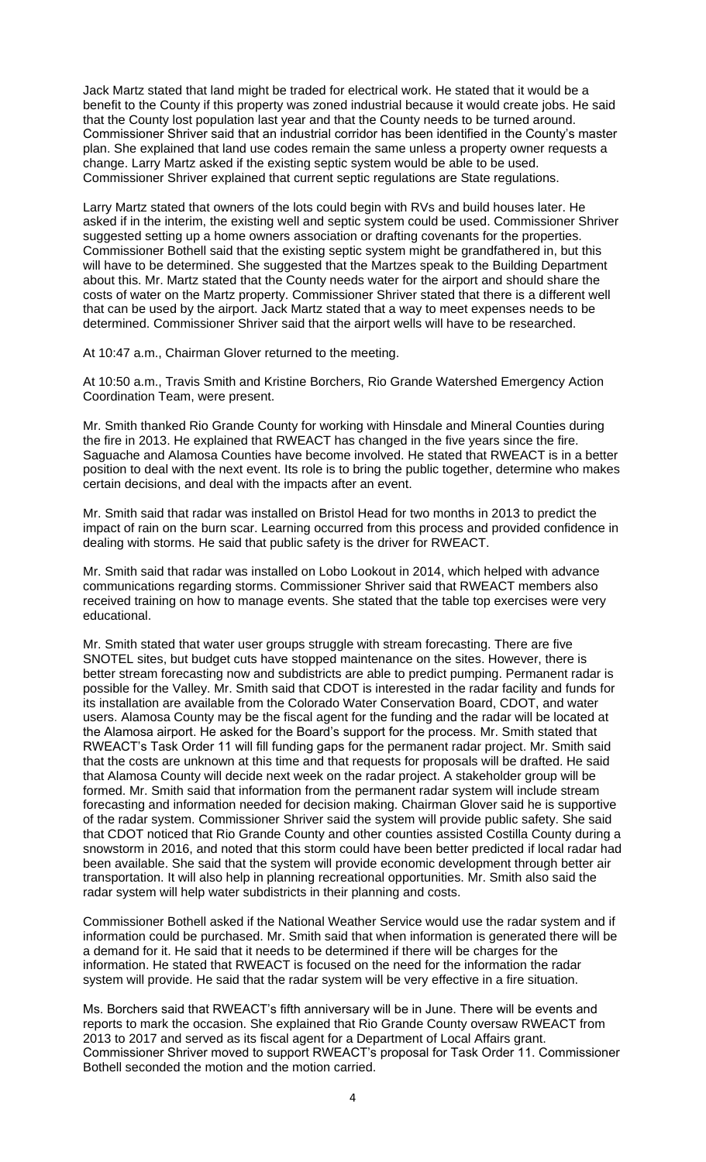Jack Martz stated that land might be traded for electrical work. He stated that it would be a benefit to the County if this property was zoned industrial because it would create jobs. He said that the County lost population last year and that the County needs to be turned around. Commissioner Shriver said that an industrial corridor has been identified in the County's master plan. She explained that land use codes remain the same unless a property owner requests a change. Larry Martz asked if the existing septic system would be able to be used. Commissioner Shriver explained that current septic regulations are State regulations.

Larry Martz stated that owners of the lots could begin with RVs and build houses later. He asked if in the interim, the existing well and septic system could be used. Commissioner Shriver suggested setting up a home owners association or drafting covenants for the properties. Commissioner Bothell said that the existing septic system might be grandfathered in, but this will have to be determined. She suggested that the Martzes speak to the Building Department about this. Mr. Martz stated that the County needs water for the airport and should share the costs of water on the Martz property. Commissioner Shriver stated that there is a different well that can be used by the airport. Jack Martz stated that a way to meet expenses needs to be determined. Commissioner Shriver said that the airport wells will have to be researched.

At 10:47 a.m., Chairman Glover returned to the meeting.

At 10:50 a.m., Travis Smith and Kristine Borchers, Rio Grande Watershed Emergency Action Coordination Team, were present.

Mr. Smith thanked Rio Grande County for working with Hinsdale and Mineral Counties during the fire in 2013. He explained that RWEACT has changed in the five years since the fire. Saguache and Alamosa Counties have become involved. He stated that RWEACT is in a better position to deal with the next event. Its role is to bring the public together, determine who makes certain decisions, and deal with the impacts after an event.

Mr. Smith said that radar was installed on Bristol Head for two months in 2013 to predict the impact of rain on the burn scar. Learning occurred from this process and provided confidence in dealing with storms. He said that public safety is the driver for RWEACT.

Mr. Smith said that radar was installed on Lobo Lookout in 2014, which helped with advance communications regarding storms. Commissioner Shriver said that RWEACT members also received training on how to manage events. She stated that the table top exercises were very educational.

Mr. Smith stated that water user groups struggle with stream forecasting. There are five SNOTEL sites, but budget cuts have stopped maintenance on the sites. However, there is better stream forecasting now and subdistricts are able to predict pumping. Permanent radar is possible for the Valley. Mr. Smith said that CDOT is interested in the radar facility and funds for its installation are available from the Colorado Water Conservation Board, CDOT, and water users. Alamosa County may be the fiscal agent for the funding and the radar will be located at the Alamosa airport. He asked for the Board's support for the process. Mr. Smith stated that RWEACT's Task Order 11 will fill funding gaps for the permanent radar project. Mr. Smith said that the costs are unknown at this time and that requests for proposals will be drafted. He said that Alamosa County will decide next week on the radar project. A stakeholder group will be formed. Mr. Smith said that information from the permanent radar system will include stream forecasting and information needed for decision making. Chairman Glover said he is supportive of the radar system. Commissioner Shriver said the system will provide public safety. She said that CDOT noticed that Rio Grande County and other counties assisted Costilla County during a snowstorm in 2016, and noted that this storm could have been better predicted if local radar had been available. She said that the system will provide economic development through better air transportation. It will also help in planning recreational opportunities. Mr. Smith also said the radar system will help water subdistricts in their planning and costs.

Commissioner Bothell asked if the National Weather Service would use the radar system and if information could be purchased. Mr. Smith said that when information is generated there will be a demand for it. He said that it needs to be determined if there will be charges for the information. He stated that RWEACT is focused on the need for the information the radar system will provide. He said that the radar system will be very effective in a fire situation.

Ms. Borchers said that RWEACT's fifth anniversary will be in June. There will be events and reports to mark the occasion. She explained that Rio Grande County oversaw RWEACT from 2013 to 2017 and served as its fiscal agent for a Department of Local Affairs grant. Commissioner Shriver moved to support RWEACT's proposal for Task Order 11. Commissioner Bothell seconded the motion and the motion carried.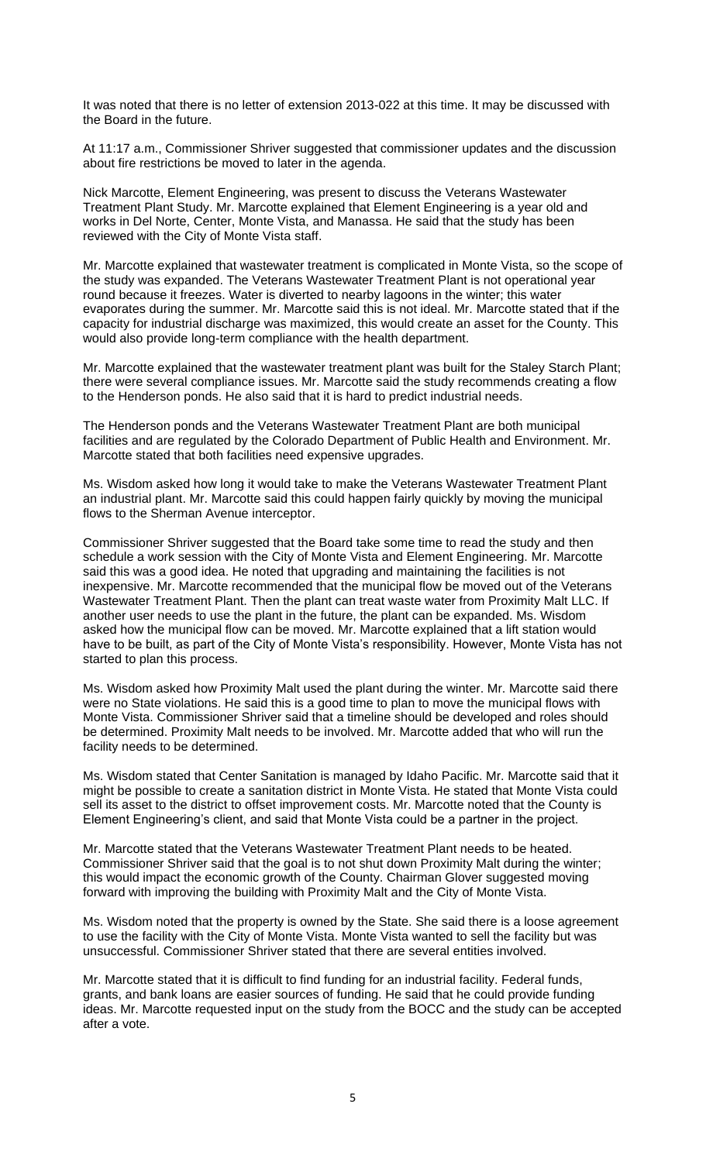It was noted that there is no letter of extension 2013-022 at this time. It may be discussed with the Board in the future.

At 11:17 a.m., Commissioner Shriver suggested that commissioner updates and the discussion about fire restrictions be moved to later in the agenda.

Nick Marcotte, Element Engineering, was present to discuss the Veterans Wastewater Treatment Plant Study. Mr. Marcotte explained that Element Engineering is a year old and works in Del Norte, Center, Monte Vista, and Manassa. He said that the study has been reviewed with the City of Monte Vista staff.

Mr. Marcotte explained that wastewater treatment is complicated in Monte Vista, so the scope of the study was expanded. The Veterans Wastewater Treatment Plant is not operational year round because it freezes. Water is diverted to nearby lagoons in the winter; this water evaporates during the summer. Mr. Marcotte said this is not ideal. Mr. Marcotte stated that if the capacity for industrial discharge was maximized, this would create an asset for the County. This would also provide long-term compliance with the health department.

Mr. Marcotte explained that the wastewater treatment plant was built for the Staley Starch Plant; there were several compliance issues. Mr. Marcotte said the study recommends creating a flow to the Henderson ponds. He also said that it is hard to predict industrial needs.

The Henderson ponds and the Veterans Wastewater Treatment Plant are both municipal facilities and are regulated by the Colorado Department of Public Health and Environment. Mr. Marcotte stated that both facilities need expensive upgrades.

Ms. Wisdom asked how long it would take to make the Veterans Wastewater Treatment Plant an industrial plant. Mr. Marcotte said this could happen fairly quickly by moving the municipal flows to the Sherman Avenue interceptor.

Commissioner Shriver suggested that the Board take some time to read the study and then schedule a work session with the City of Monte Vista and Element Engineering. Mr. Marcotte said this was a good idea. He noted that upgrading and maintaining the facilities is not inexpensive. Mr. Marcotte recommended that the municipal flow be moved out of the Veterans Wastewater Treatment Plant. Then the plant can treat waste water from Proximity Malt LLC. If another user needs to use the plant in the future, the plant can be expanded. Ms. Wisdom asked how the municipal flow can be moved. Mr. Marcotte explained that a lift station would have to be built, as part of the City of Monte Vista's responsibility. However, Monte Vista has not started to plan this process.

Ms. Wisdom asked how Proximity Malt used the plant during the winter. Mr. Marcotte said there were no State violations. He said this is a good time to plan to move the municipal flows with Monte Vista. Commissioner Shriver said that a timeline should be developed and roles should be determined. Proximity Malt needs to be involved. Mr. Marcotte added that who will run the facility needs to be determined.

Ms. Wisdom stated that Center Sanitation is managed by Idaho Pacific. Mr. Marcotte said that it might be possible to create a sanitation district in Monte Vista. He stated that Monte Vista could sell its asset to the district to offset improvement costs. Mr. Marcotte noted that the County is Element Engineering's client, and said that Monte Vista could be a partner in the project.

Mr. Marcotte stated that the Veterans Wastewater Treatment Plant needs to be heated. Commissioner Shriver said that the goal is to not shut down Proximity Malt during the winter; this would impact the economic growth of the County. Chairman Glover suggested moving forward with improving the building with Proximity Malt and the City of Monte Vista.

Ms. Wisdom noted that the property is owned by the State. She said there is a loose agreement to use the facility with the City of Monte Vista. Monte Vista wanted to sell the facility but was unsuccessful. Commissioner Shriver stated that there are several entities involved.

Mr. Marcotte stated that it is difficult to find funding for an industrial facility. Federal funds, grants, and bank loans are easier sources of funding. He said that he could provide funding ideas. Mr. Marcotte requested input on the study from the BOCC and the study can be accepted after a vote.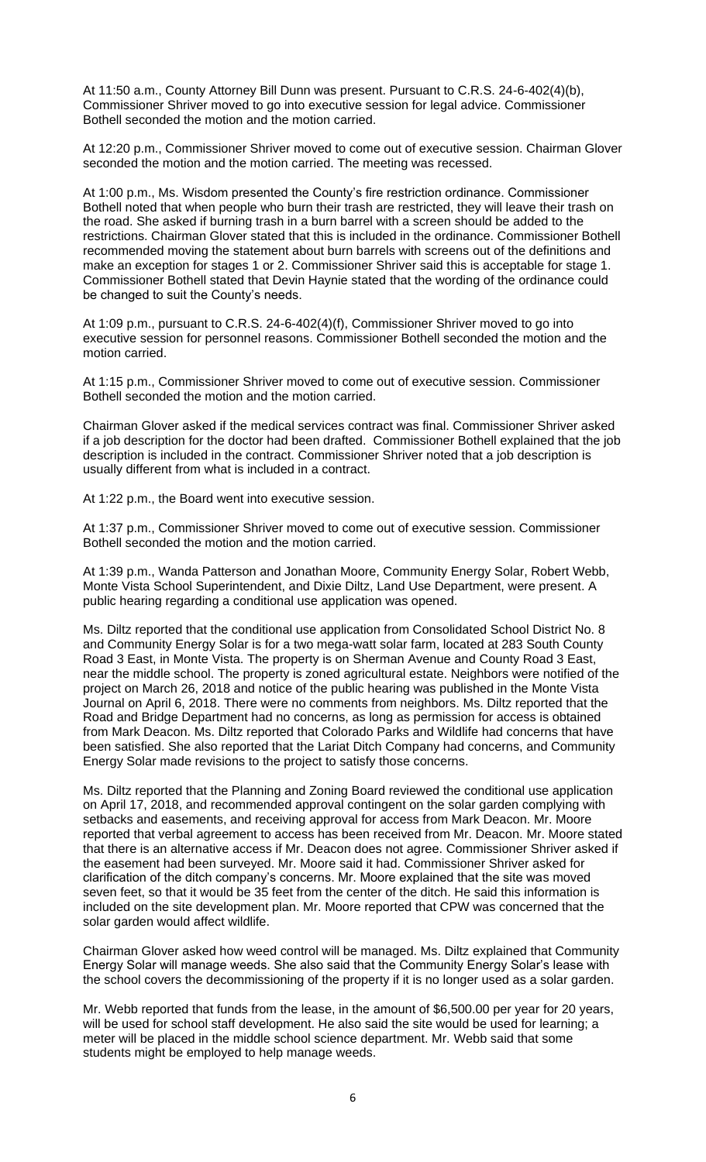At 11:50 a.m., County Attorney Bill Dunn was present. Pursuant to C.R.S. 24-6-402(4)(b), Commissioner Shriver moved to go into executive session for legal advice. Commissioner Bothell seconded the motion and the motion carried.

At 12:20 p.m., Commissioner Shriver moved to come out of executive session. Chairman Glover seconded the motion and the motion carried. The meeting was recessed.

At 1:00 p.m., Ms. Wisdom presented the County's fire restriction ordinance. Commissioner Bothell noted that when people who burn their trash are restricted, they will leave their trash on the road. She asked if burning trash in a burn barrel with a screen should be added to the restrictions. Chairman Glover stated that this is included in the ordinance. Commissioner Bothell recommended moving the statement about burn barrels with screens out of the definitions and make an exception for stages 1 or 2. Commissioner Shriver said this is acceptable for stage 1. Commissioner Bothell stated that Devin Haynie stated that the wording of the ordinance could be changed to suit the County's needs.

At 1:09 p.m., pursuant to C.R.S. 24-6-402(4)(f), Commissioner Shriver moved to go into executive session for personnel reasons. Commissioner Bothell seconded the motion and the motion carried.

At 1:15 p.m., Commissioner Shriver moved to come out of executive session. Commissioner Bothell seconded the motion and the motion carried.

Chairman Glover asked if the medical services contract was final. Commissioner Shriver asked if a job description for the doctor had been drafted. Commissioner Bothell explained that the job description is included in the contract. Commissioner Shriver noted that a job description is usually different from what is included in a contract.

At 1:22 p.m., the Board went into executive session.

At 1:37 p.m., Commissioner Shriver moved to come out of executive session. Commissioner Bothell seconded the motion and the motion carried.

At 1:39 p.m., Wanda Patterson and Jonathan Moore, Community Energy Solar, Robert Webb, Monte Vista School Superintendent, and Dixie Diltz, Land Use Department, were present. A public hearing regarding a conditional use application was opened.

Ms. Diltz reported that the conditional use application from Consolidated School District No. 8 and Community Energy Solar is for a two mega-watt solar farm, located at 283 South County Road 3 East, in Monte Vista. The property is on Sherman Avenue and County Road 3 East, near the middle school. The property is zoned agricultural estate. Neighbors were notified of the project on March 26, 2018 and notice of the public hearing was published in the Monte Vista Journal on April 6, 2018. There were no comments from neighbors. Ms. Diltz reported that the Road and Bridge Department had no concerns, as long as permission for access is obtained from Mark Deacon. Ms. Diltz reported that Colorado Parks and Wildlife had concerns that have been satisfied. She also reported that the Lariat Ditch Company had concerns, and Community Energy Solar made revisions to the project to satisfy those concerns.

Ms. Diltz reported that the Planning and Zoning Board reviewed the conditional use application on April 17, 2018, and recommended approval contingent on the solar garden complying with setbacks and easements, and receiving approval for access from Mark Deacon. Mr. Moore reported that verbal agreement to access has been received from Mr. Deacon. Mr. Moore stated that there is an alternative access if Mr. Deacon does not agree. Commissioner Shriver asked if the easement had been surveyed. Mr. Moore said it had. Commissioner Shriver asked for clarification of the ditch company's concerns. Mr. Moore explained that the site was moved seven feet, so that it would be 35 feet from the center of the ditch. He said this information is included on the site development plan. Mr. Moore reported that CPW was concerned that the solar garden would affect wildlife.

Chairman Glover asked how weed control will be managed. Ms. Diltz explained that Community Energy Solar will manage weeds. She also said that the Community Energy Solar's lease with the school covers the decommissioning of the property if it is no longer used as a solar garden.

Mr. Webb reported that funds from the lease, in the amount of \$6,500.00 per year for 20 years, will be used for school staff development. He also said the site would be used for learning; a meter will be placed in the middle school science department. Mr. Webb said that some students might be employed to help manage weeds.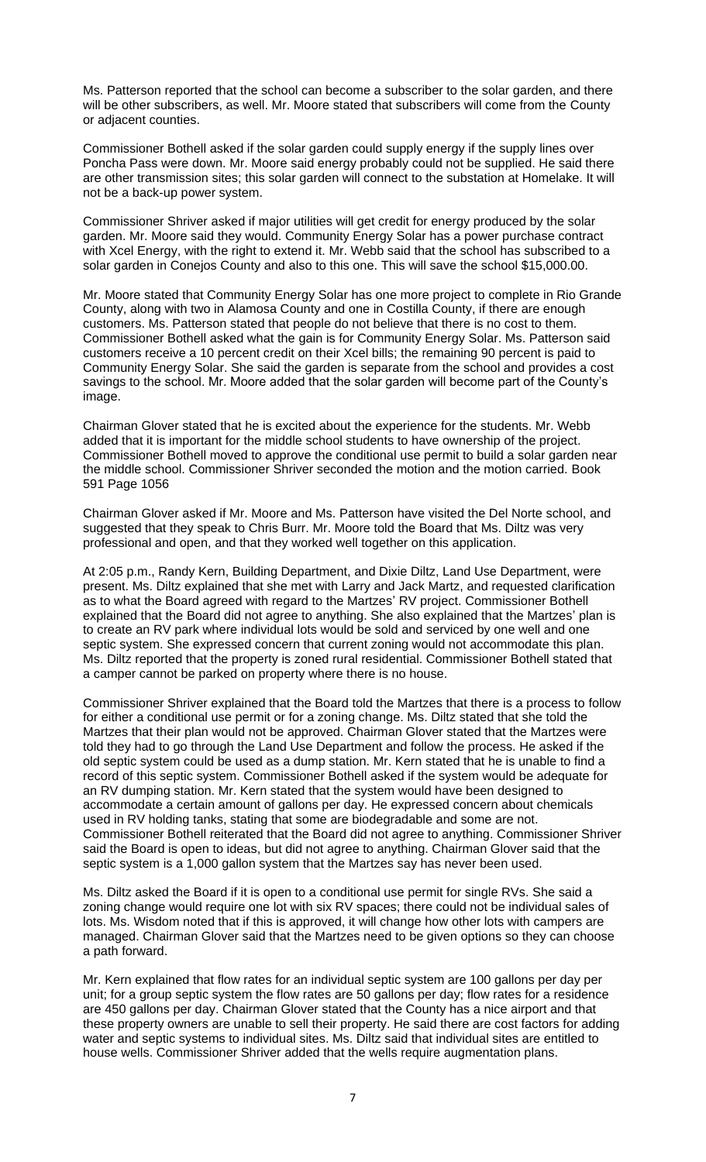Ms. Patterson reported that the school can become a subscriber to the solar garden, and there will be other subscribers, as well. Mr. Moore stated that subscribers will come from the County or adjacent counties.

Commissioner Bothell asked if the solar garden could supply energy if the supply lines over Poncha Pass were down. Mr. Moore said energy probably could not be supplied. He said there are other transmission sites; this solar garden will connect to the substation at Homelake. It will not be a back-up power system.

Commissioner Shriver asked if major utilities will get credit for energy produced by the solar garden. Mr. Moore said they would. Community Energy Solar has a power purchase contract with Xcel Energy, with the right to extend it. Mr. Webb said that the school has subscribed to a solar garden in Conejos County and also to this one. This will save the school \$15,000.00.

Mr. Moore stated that Community Energy Solar has one more project to complete in Rio Grande County, along with two in Alamosa County and one in Costilla County, if there are enough customers. Ms. Patterson stated that people do not believe that there is no cost to them. Commissioner Bothell asked what the gain is for Community Energy Solar. Ms. Patterson said customers receive a 10 percent credit on their Xcel bills; the remaining 90 percent is paid to Community Energy Solar. She said the garden is separate from the school and provides a cost savings to the school. Mr. Moore added that the solar garden will become part of the County's image.

Chairman Glover stated that he is excited about the experience for the students. Mr. Webb added that it is important for the middle school students to have ownership of the project. Commissioner Bothell moved to approve the conditional use permit to build a solar garden near the middle school. Commissioner Shriver seconded the motion and the motion carried. Book 591 Page 1056

Chairman Glover asked if Mr. Moore and Ms. Patterson have visited the Del Norte school, and suggested that they speak to Chris Burr. Mr. Moore told the Board that Ms. Diltz was very professional and open, and that they worked well together on this application.

At 2:05 p.m., Randy Kern, Building Department, and Dixie Diltz, Land Use Department, were present. Ms. Diltz explained that she met with Larry and Jack Martz, and requested clarification as to what the Board agreed with regard to the Martzes' RV project. Commissioner Bothell explained that the Board did not agree to anything. She also explained that the Martzes' plan is to create an RV park where individual lots would be sold and serviced by one well and one septic system. She expressed concern that current zoning would not accommodate this plan. Ms. Diltz reported that the property is zoned rural residential. Commissioner Bothell stated that a camper cannot be parked on property where there is no house.

Commissioner Shriver explained that the Board told the Martzes that there is a process to follow for either a conditional use permit or for a zoning change. Ms. Diltz stated that she told the Martzes that their plan would not be approved. Chairman Glover stated that the Martzes were told they had to go through the Land Use Department and follow the process. He asked if the old septic system could be used as a dump station. Mr. Kern stated that he is unable to find a record of this septic system. Commissioner Bothell asked if the system would be adequate for an RV dumping station. Mr. Kern stated that the system would have been designed to accommodate a certain amount of gallons per day. He expressed concern about chemicals used in RV holding tanks, stating that some are biodegradable and some are not. Commissioner Bothell reiterated that the Board did not agree to anything. Commissioner Shriver said the Board is open to ideas, but did not agree to anything. Chairman Glover said that the septic system is a 1,000 gallon system that the Martzes say has never been used.

Ms. Diltz asked the Board if it is open to a conditional use permit for single RVs. She said a zoning change would require one lot with six RV spaces; there could not be individual sales of lots. Ms. Wisdom noted that if this is approved, it will change how other lots with campers are managed. Chairman Glover said that the Martzes need to be given options so they can choose a path forward.

Mr. Kern explained that flow rates for an individual septic system are 100 gallons per day per unit; for a group septic system the flow rates are 50 gallons per day; flow rates for a residence are 450 gallons per day. Chairman Glover stated that the County has a nice airport and that these property owners are unable to sell their property. He said there are cost factors for adding water and septic systems to individual sites. Ms. Diltz said that individual sites are entitled to house wells. Commissioner Shriver added that the wells require augmentation plans.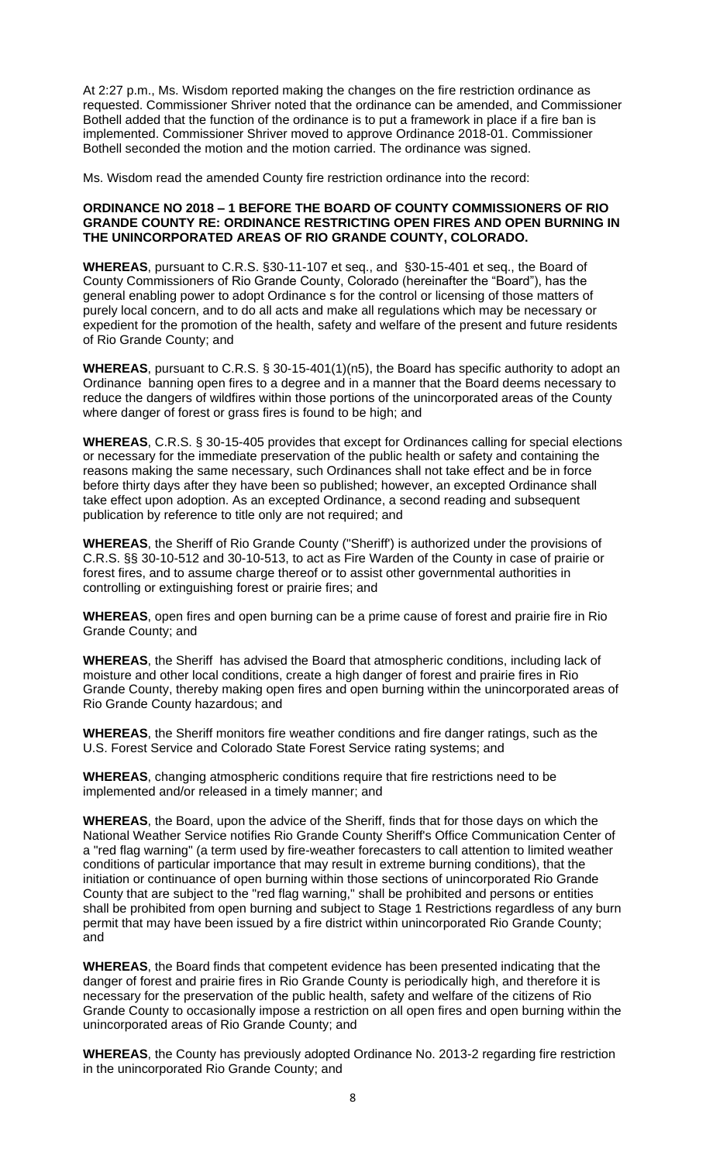At 2:27 p.m., Ms. Wisdom reported making the changes on the fire restriction ordinance as requested. Commissioner Shriver noted that the ordinance can be amended, and Commissioner Bothell added that the function of the ordinance is to put a framework in place if a fire ban is implemented. Commissioner Shriver moved to approve Ordinance 2018-01. Commissioner Bothell seconded the motion and the motion carried. The ordinance was signed.

Ms. Wisdom read the amended County fire restriction ordinance into the record:

## **ORDINANCE NO 2018 – 1 BEFORE THE BOARD OF COUNTY COMMISSIONERS OF RIO GRANDE COUNTY RE: ORDINANCE RESTRICTING OPEN FIRES AND OPEN BURNING IN THE UNINCORPORATED AREAS OF RIO GRANDE COUNTY, COLORADO.**

**WHEREAS**, pursuant to C.R.S. §30-11-107 et seq., and §30-15-401 et seq., the Board of County Commissioners of Rio Grande County, Colorado (hereinafter the "Board"), has the general enabling power to adopt Ordinance s for the control or licensing of those matters of purely local concern, and to do all acts and make all regulations which may be necessary or expedient for the promotion of the health, safety and welfare of the present and future residents of Rio Grande County; and

**WHEREAS**, pursuant to C.R.S. § 30-15-401(1)(n5), the Board has specific authority to adopt an Ordinance banning open fires to a degree and in a manner that the Board deems necessary to reduce the dangers of wildfires within those portions of the unincorporated areas of the County where danger of forest or grass fires is found to be high; and

**WHEREAS**, C.R.S. § 30-15-405 provides that except for Ordinances calling for special elections or necessary for the immediate preservation of the public health or safety and containing the reasons making the same necessary, such Ordinances shall not take effect and be in force before thirty days after they have been so published; however, an excepted Ordinance shall take effect upon adoption. As an excepted Ordinance, a second reading and subsequent publication by reference to title only are not required; and

**WHEREAS**, the Sheriff of Rio Grande County ("Sheriff') is authorized under the provisions of C.R.S. §§ 30-10-512 and 30-10-513, to act as Fire Warden of the County in case of prairie or forest fires, and to assume charge thereof or to assist other governmental authorities in controlling or extinguishing forest or prairie fires; and

**WHEREAS**, open fires and open burning can be a prime cause of forest and prairie fire in Rio Grande County; and

**WHEREAS**, the Sheriff has advised the Board that atmospheric conditions, including lack of moisture and other local conditions, create a high danger of forest and prairie fires in Rio Grande County, thereby making open fires and open burning within the unincorporated areas of Rio Grande County hazardous; and

**WHEREAS**, the Sheriff monitors fire weather conditions and fire danger ratings, such as the U.S. Forest Service and Colorado State Forest Service rating systems; and

**WHEREAS**, changing atmospheric conditions require that fire restrictions need to be implemented and/or released in a timely manner; and

**WHEREAS**, the Board, upon the advice of the Sheriff, finds that for those days on which the National Weather Service notifies Rio Grande County Sheriff's Office Communication Center of a "red flag warning" (a term used by fire-weather forecasters to call attention to limited weather conditions of particular importance that may result in extreme burning conditions), that the initiation or continuance of open burning within those sections of unincorporated Rio Grande County that are subject to the "red flag warning," shall be prohibited and persons or entities shall be prohibited from open burning and subject to Stage 1 Restrictions regardless of any burn permit that may have been issued by a fire district within unincorporated Rio Grande County; and

**WHEREAS**, the Board finds that competent evidence has been presented indicating that the danger of forest and prairie fires in Rio Grande County is periodically high, and therefore it is necessary for the preservation of the public health, safety and welfare of the citizens of Rio Grande County to occasionally impose a restriction on all open fires and open burning within the unincorporated areas of Rio Grande County; and

**WHEREAS**, the County has previously adopted Ordinance No. 2013-2 regarding fire restriction in the unincorporated Rio Grande County; and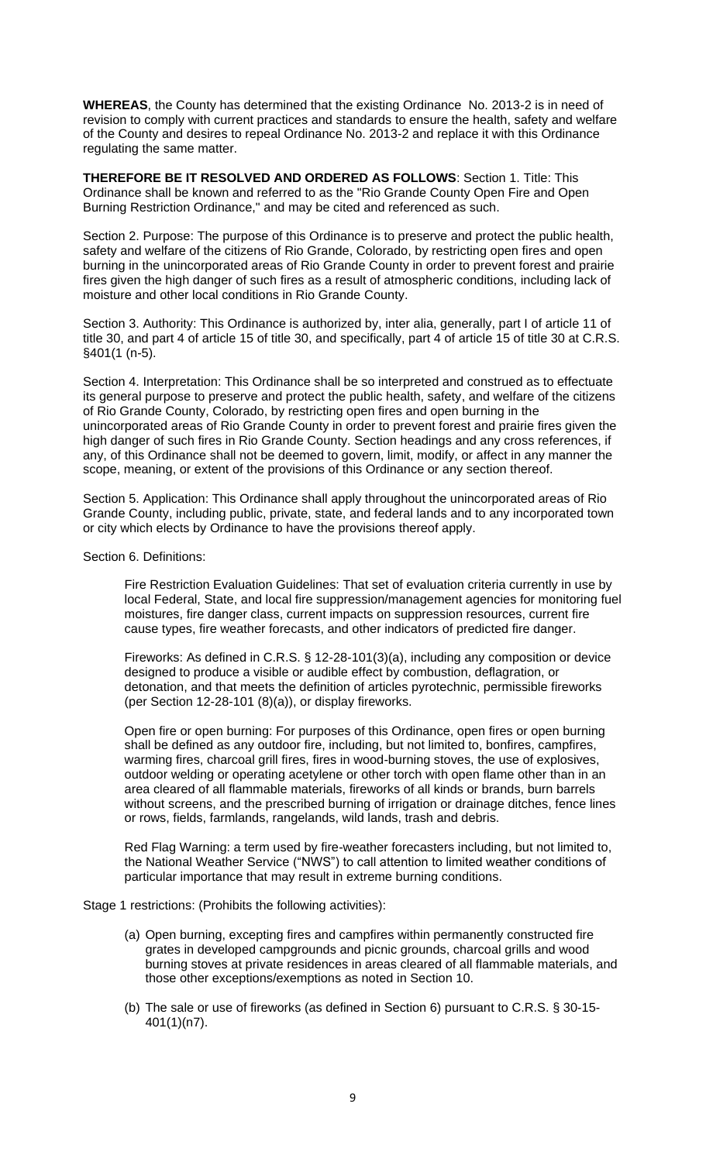**WHEREAS**, the County has determined that the existing Ordinance No. 2013-2 is in need of revision to comply with current practices and standards to ensure the health, safety and welfare of the County and desires to repeal Ordinance No. 2013-2 and replace it with this Ordinance regulating the same matter.

**THEREFORE BE IT RESOLVED AND ORDERED AS FOLLOWS**: Section 1. Title: This Ordinance shall be known and referred to as the "Rio Grande County Open Fire and Open Burning Restriction Ordinance," and may be cited and referenced as such.

Section 2. Purpose: The purpose of this Ordinance is to preserve and protect the public health, safety and welfare of the citizens of Rio Grande, Colorado, by restricting open fires and open burning in the unincorporated areas of Rio Grande County in order to prevent forest and prairie fires given the high danger of such fires as a result of atmospheric conditions, including lack of moisture and other local conditions in Rio Grande County.

Section 3. Authority: This Ordinance is authorized by, inter alia, generally, part I of article 11 of title 30, and part 4 of article 15 of title 30, and specifically, part 4 of article 15 of title 30 at C.R.S. §401(1 (n-5).

Section 4. Interpretation: This Ordinance shall be so interpreted and construed as to effectuate its general purpose to preserve and protect the public health, safety, and welfare of the citizens of Rio Grande County, Colorado, by restricting open fires and open burning in the unincorporated areas of Rio Grande County in order to prevent forest and prairie fires given the high danger of such fires in Rio Grande County. Section headings and any cross references, if any, of this Ordinance shall not be deemed to govern, limit, modify, or affect in any manner the scope, meaning, or extent of the provisions of this Ordinance or any section thereof.

Section 5. Application: This Ordinance shall apply throughout the unincorporated areas of Rio Grande County, including public, private, state, and federal lands and to any incorporated town or city which elects by Ordinance to have the provisions thereof apply.

Section 6. Definitions:

Fire Restriction Evaluation Guidelines: That set of evaluation criteria currently in use by local Federal, State, and local fire suppression/management agencies for monitoring fuel moistures, fire danger class, current impacts on suppression resources, current fire cause types, fire weather forecasts, and other indicators of predicted fire danger.

Fireworks: As defined in C.R.S. § 12-28-101(3)(a), including any composition or device designed to produce a visible or audible effect by combustion, deflagration, or detonation, and that meets the definition of articles pyrotechnic, permissible fireworks (per Section 12-28-101 (8)(a)), or display fireworks.

Open fire or open burning: For purposes of this Ordinance, open fires or open burning shall be defined as any outdoor fire, including, but not limited to, bonfires, campfires, warming fires, charcoal grill fires, fires in wood-burning stoves, the use of explosives, outdoor welding or operating acetylene or other torch with open flame other than in an area cleared of all flammable materials, fireworks of all kinds or brands, burn barrels without screens, and the prescribed burning of irrigation or drainage ditches, fence lines or rows, fields, farmlands, rangelands, wild lands, trash and debris.

Red Flag Warning: a term used by fire-weather forecasters including, but not limited to, the National Weather Service ("NWS") to call attention to limited weather conditions of particular importance that may result in extreme burning conditions.

Stage 1 restrictions: (Prohibits the following activities):

- (a) Open burning, excepting fires and campfires within permanently constructed fire grates in developed campgrounds and picnic grounds, charcoal grills and wood burning stoves at private residences in areas cleared of all flammable materials, and those other exceptions/exemptions as noted in Section 10.
- (b) The sale or use of fireworks (as defined in Section 6) pursuant to C.R.S. § 30-15- 401(1)(n7).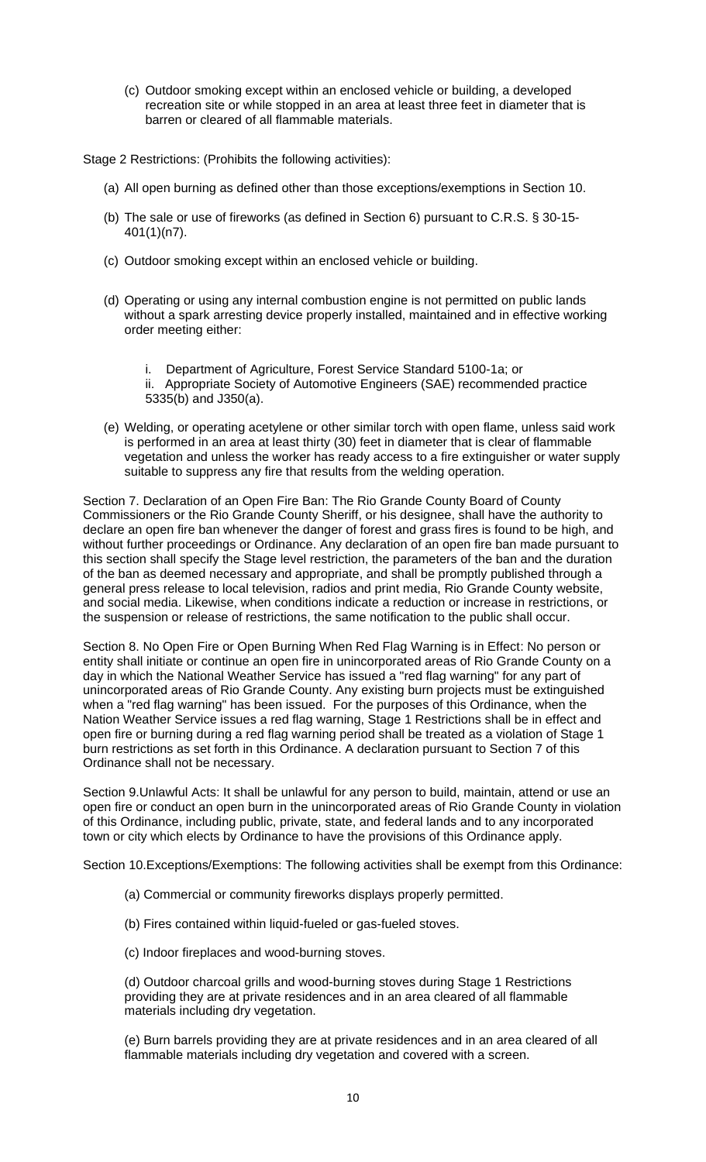(c) Outdoor smoking except within an enclosed vehicle or building, a developed recreation site or while stopped in an area at least three feet in diameter that is barren or cleared of all flammable materials.

Stage 2 Restrictions: (Prohibits the following activities):

- (a) All open burning as defined other than those exceptions/exemptions in Section 10.
- (b) The sale or use of fireworks (as defined in Section 6) pursuant to C.R.S. § 30-15- 401(1)(n7).
- (c) Outdoor smoking except within an enclosed vehicle or building.
- (d) Operating or using any internal combustion engine is not permitted on public lands without a spark arresting device properly installed, maintained and in effective working order meeting either:
	- i. Department of Agriculture, Forest Service Standard 5100-1a; or ii. Appropriate Society of Automotive Engineers (SAE) recommended practice 5335(b) and J350(a).
- (e) Welding, or operating acetylene or other similar torch with open flame, unless said work is performed in an area at least thirty (30) feet in diameter that is clear of flammable vegetation and unless the worker has ready access to a fire extinguisher or water supply suitable to suppress any fire that results from the welding operation.

Section 7. Declaration of an Open Fire Ban: The Rio Grande County Board of County Commissioners or the Rio Grande County Sheriff, or his designee, shall have the authority to declare an open fire ban whenever the danger of forest and grass fires is found to be high, and without further proceedings or Ordinance. Any declaration of an open fire ban made pursuant to this section shall specify the Stage level restriction, the parameters of the ban and the duration of the ban as deemed necessary and appropriate, and shall be promptly published through a general press release to local television, radios and print media, Rio Grande County website, and social media. Likewise, when conditions indicate a reduction or increase in restrictions, or the suspension or release of restrictions, the same notification to the public shall occur.

Section 8. No Open Fire or Open Burning When Red Flag Warning is in Effect: No person or entity shall initiate or continue an open fire in unincorporated areas of Rio Grande County on a day in which the National Weather Service has issued a "red flag warning" for any part of unincorporated areas of Rio Grande County. Any existing burn projects must be extinguished when a "red flag warning" has been issued. For the purposes of this Ordinance, when the Nation Weather Service issues a red flag warning, Stage 1 Restrictions shall be in effect and open fire or burning during a red flag warning period shall be treated as a violation of Stage 1 burn restrictions as set forth in this Ordinance. A declaration pursuant to Section 7 of this Ordinance shall not be necessary.

Section 9.Unlawful Acts: It shall be unlawful for any person to build, maintain, attend or use an open fire or conduct an open burn in the unincorporated areas of Rio Grande County in violation of this Ordinance, including public, private, state, and federal lands and to any incorporated town or city which elects by Ordinance to have the provisions of this Ordinance apply.

Section 10.Exceptions/Exemptions: The following activities shall be exempt from this Ordinance:

- (a) Commercial or community fireworks displays properly permitted.
- (b) Fires contained within liquid-fueled or gas-fueled stoves.
- (c) Indoor fireplaces and wood-burning stoves.

(d) Outdoor charcoal grills and wood-burning stoves during Stage 1 Restrictions providing they are at private residences and in an area cleared of all flammable materials including dry vegetation.

(e) Burn barrels providing they are at private residences and in an area cleared of all flammable materials including dry vegetation and covered with a screen.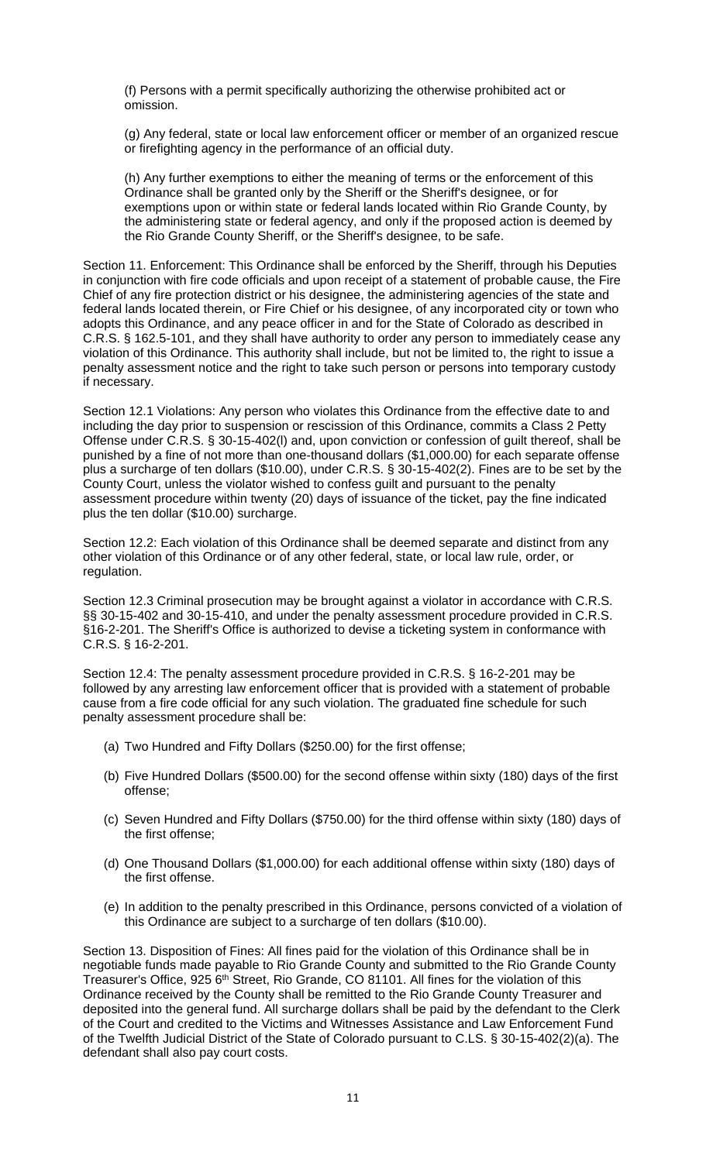(f) Persons with a permit specifically authorizing the otherwise prohibited act or omission.

(g) Any federal, state or local law enforcement officer or member of an organized rescue or firefighting agency in the performance of an official duty.

(h) Any further exemptions to either the meaning of terms or the enforcement of this Ordinance shall be granted only by the Sheriff or the Sheriff's designee, or for exemptions upon or within state or federal lands located within Rio Grande County, by the administering state or federal agency, and only if the proposed action is deemed by the Rio Grande County Sheriff, or the Sheriff's designee, to be safe.

Section 11. Enforcement: This Ordinance shall be enforced by the Sheriff, through his Deputies in conjunction with fire code officials and upon receipt of a statement of probable cause, the Fire Chief of any fire protection district or his designee, the administering agencies of the state and federal lands located therein, or Fire Chief or his designee, of any incorporated city or town who adopts this Ordinance, and any peace officer in and for the State of Colorado as described in C.R.S. § 162.5-101, and they shall have authority to order any person to immediately cease any violation of this Ordinance. This authority shall include, but not be limited to, the right to issue a penalty assessment notice and the right to take such person or persons into temporary custody if necessary.

Section 12.1 Violations: Any person who violates this Ordinance from the effective date to and including the day prior to suspension or rescission of this Ordinance, commits a Class 2 Petty Offense under C.R.S. § 30-15-402(l) and, upon conviction or confession of guilt thereof, shall be punished by a fine of not more than one-thousand dollars (\$1,000.00) for each separate offense plus a surcharge of ten dollars (\$10.00), under C.R.S. § 30-15-402(2). Fines are to be set by the County Court, unless the violator wished to confess guilt and pursuant to the penalty assessment procedure within twenty (20) days of issuance of the ticket, pay the fine indicated plus the ten dollar (\$10.00) surcharge.

Section 12.2: Each violation of this Ordinance shall be deemed separate and distinct from any other violation of this Ordinance or of any other federal, state, or local law rule, order, or regulation.

Section 12.3 Criminal prosecution may be brought against a violator in accordance with C.R.S. §§ 30-15-402 and 30-15-410, and under the penalty assessment procedure provided in C.R.S. §16-2-201. The Sheriff's Office is authorized to devise a ticketing system in conformance with C.R.S. § 16-2-201.

Section 12.4: The penalty assessment procedure provided in C.R.S. § 16-2-201 may be followed by any arresting law enforcement officer that is provided with a statement of probable cause from a fire code official for any such violation. The graduated fine schedule for such penalty assessment procedure shall be:

- (a) Two Hundred and Fifty Dollars (\$250.00) for the first offense;
- (b) Five Hundred Dollars (\$500.00) for the second offense within sixty (180) days of the first offense;
- (c) Seven Hundred and Fifty Dollars (\$750.00) for the third offense within sixty (180) days of the first offense;
- (d) One Thousand Dollars (\$1,000.00) for each additional offense within sixty (180) days of the first offense.
- (e) In addition to the penalty prescribed in this Ordinance, persons convicted of a violation of this Ordinance are subject to a surcharge of ten dollars (\$10.00).

Section 13. Disposition of Fines: All fines paid for the violation of this Ordinance shall be in negotiable funds made payable to Rio Grande County and submitted to the Rio Grande County Treasurer's Office, 925 6<sup>th</sup> Street, Rio Grande, CO 81101. All fines for the violation of this Ordinance received by the County shall be remitted to the Rio Grande County Treasurer and deposited into the general fund. All surcharge dollars shall be paid by the defendant to the Clerk of the Court and credited to the Victims and Witnesses Assistance and Law Enforcement Fund of the Twelfth Judicial District of the State of Colorado pursuant to C.LS. § 30-15-402(2)(a). The defendant shall also pay court costs.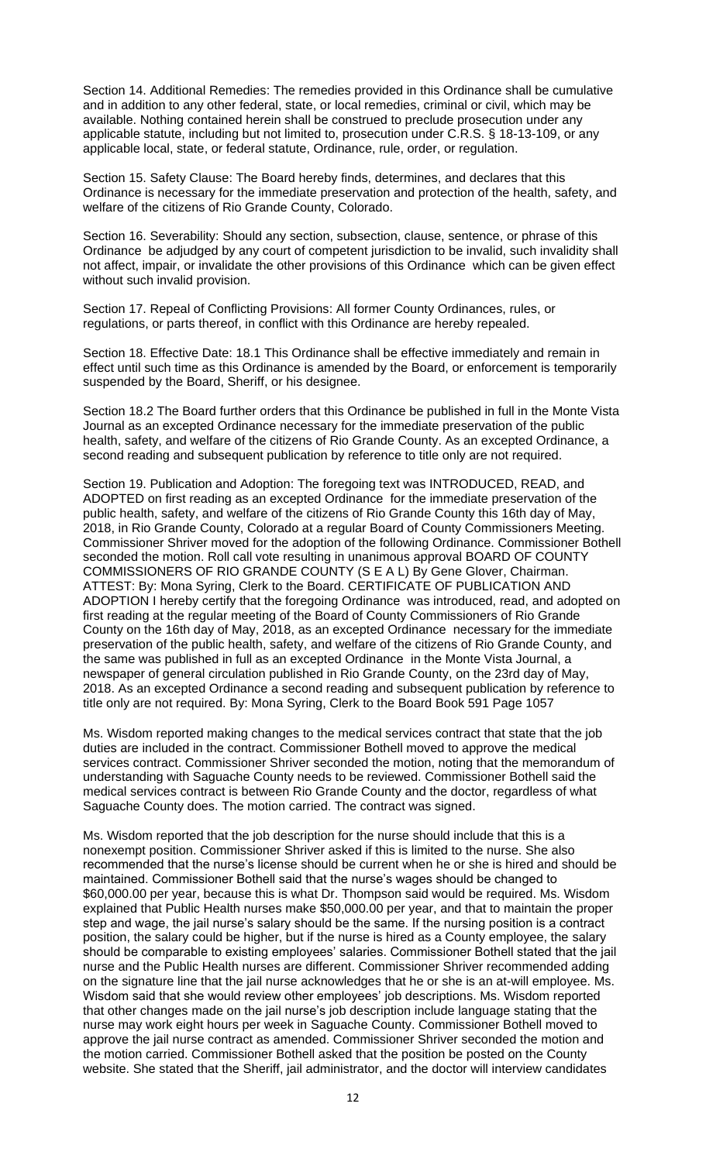Section 14. Additional Remedies: The remedies provided in this Ordinance shall be cumulative and in addition to any other federal, state, or local remedies, criminal or civil, which may be available. Nothing contained herein shall be construed to preclude prosecution under any applicable statute, including but not limited to, prosecution under C.R.S. § 18-13-109, or any applicable local, state, or federal statute, Ordinance, rule, order, or regulation.

Section 15. Safety Clause: The Board hereby finds, determines, and declares that this Ordinance is necessary for the immediate preservation and protection of the health, safety, and welfare of the citizens of Rio Grande County, Colorado.

Section 16. Severability: Should any section, subsection, clause, sentence, or phrase of this Ordinance be adjudged by any court of competent jurisdiction to be invalid, such invalidity shall not affect, impair, or invalidate the other provisions of this Ordinance which can be given effect without such invalid provision.

Section 17. Repeal of Conflicting Provisions: All former County Ordinances, rules, or regulations, or parts thereof, in conflict with this Ordinance are hereby repealed.

Section 18. Effective Date: 18.1 This Ordinance shall be effective immediately and remain in effect until such time as this Ordinance is amended by the Board, or enforcement is temporarily suspended by the Board, Sheriff, or his designee.

Section 18.2 The Board further orders that this Ordinance be published in full in the Monte Vista Journal as an excepted Ordinance necessary for the immediate preservation of the public health, safety, and welfare of the citizens of Rio Grande County. As an excepted Ordinance, a second reading and subsequent publication by reference to title only are not required.

Section 19. Publication and Adoption: The foregoing text was INTRODUCED, READ, and ADOPTED on first reading as an excepted Ordinance for the immediate preservation of the public health, safety, and welfare of the citizens of Rio Grande County this 16th day of May, 2018, in Rio Grande County, Colorado at a regular Board of County Commissioners Meeting. Commissioner Shriver moved for the adoption of the following Ordinance. Commissioner Bothell seconded the motion. Roll call vote resulting in unanimous approval BOARD OF COUNTY COMMISSIONERS OF RIO GRANDE COUNTY (S E A L) By Gene Glover, Chairman. ATTEST: By: Mona Syring, Clerk to the Board. CERTIFICATE OF PUBLICATION AND ADOPTION I hereby certify that the foregoing Ordinance was introduced, read, and adopted on first reading at the regular meeting of the Board of County Commissioners of Rio Grande County on the 16th day of May, 2018, as an excepted Ordinance necessary for the immediate preservation of the public health, safety, and welfare of the citizens of Rio Grande County, and the same was published in full as an excepted Ordinance in the Monte Vista Journal, a newspaper of general circulation published in Rio Grande County, on the 23rd day of May, 2018. As an excepted Ordinance a second reading and subsequent publication by reference to title only are not required. By: Mona Syring, Clerk to the Board Book 591 Page 1057

Ms. Wisdom reported making changes to the medical services contract that state that the job duties are included in the contract. Commissioner Bothell moved to approve the medical services contract. Commissioner Shriver seconded the motion, noting that the memorandum of understanding with Saguache County needs to be reviewed. Commissioner Bothell said the medical services contract is between Rio Grande County and the doctor, regardless of what Saguache County does. The motion carried. The contract was signed.

Ms. Wisdom reported that the job description for the nurse should include that this is a nonexempt position. Commissioner Shriver asked if this is limited to the nurse. She also recommended that the nurse's license should be current when he or she is hired and should be maintained. Commissioner Bothell said that the nurse's wages should be changed to \$60,000.00 per year, because this is what Dr. Thompson said would be required. Ms. Wisdom explained that Public Health nurses make \$50,000.00 per year, and that to maintain the proper step and wage, the jail nurse's salary should be the same. If the nursing position is a contract position, the salary could be higher, but if the nurse is hired as a County employee, the salary should be comparable to existing employees' salaries. Commissioner Bothell stated that the jail nurse and the Public Health nurses are different. Commissioner Shriver recommended adding on the signature line that the jail nurse acknowledges that he or she is an at-will employee. Ms. Wisdom said that she would review other employees' job descriptions. Ms. Wisdom reported that other changes made on the jail nurse's job description include language stating that the nurse may work eight hours per week in Saguache County. Commissioner Bothell moved to approve the jail nurse contract as amended. Commissioner Shriver seconded the motion and the motion carried. Commissioner Bothell asked that the position be posted on the County website. She stated that the Sheriff, jail administrator, and the doctor will interview candidates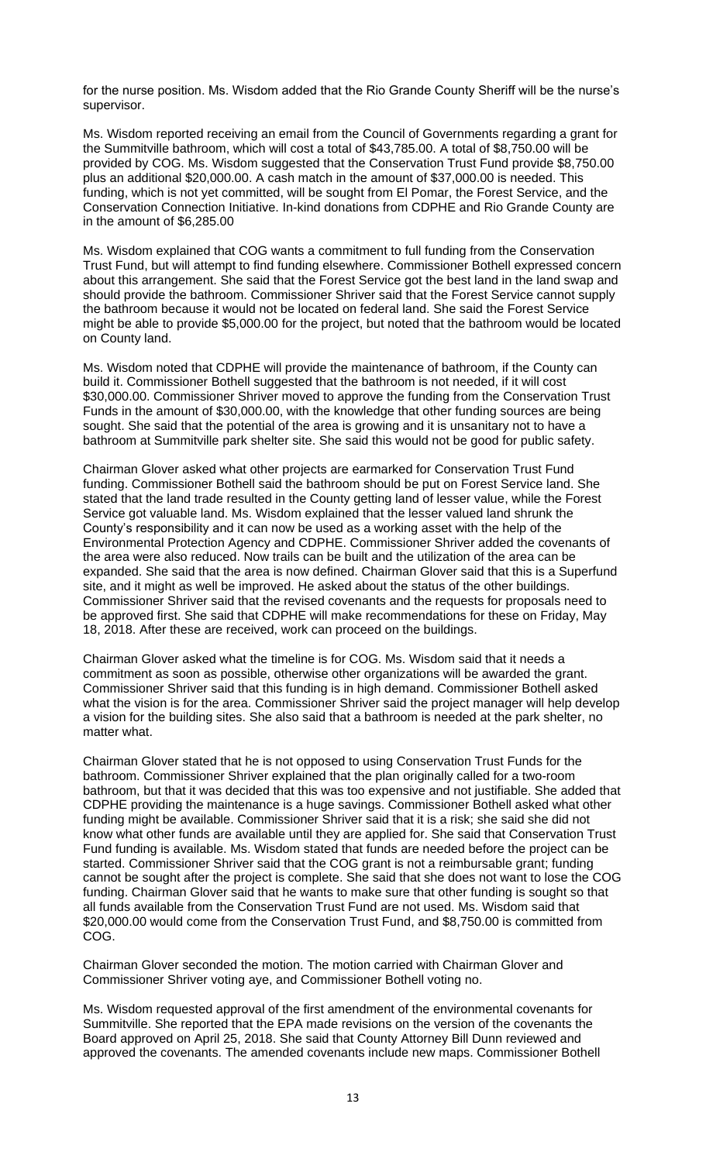for the nurse position. Ms. Wisdom added that the Rio Grande County Sheriff will be the nurse's supervisor.

Ms. Wisdom reported receiving an email from the Council of Governments regarding a grant for the Summitville bathroom, which will cost a total of \$43,785.00. A total of \$8,750.00 will be provided by COG. Ms. Wisdom suggested that the Conservation Trust Fund provide \$8,750.00 plus an additional \$20,000.00. A cash match in the amount of \$37,000.00 is needed. This funding, which is not yet committed, will be sought from El Pomar, the Forest Service, and the Conservation Connection Initiative. In-kind donations from CDPHE and Rio Grande County are in the amount of \$6,285.00

Ms. Wisdom explained that COG wants a commitment to full funding from the Conservation Trust Fund, but will attempt to find funding elsewhere. Commissioner Bothell expressed concern about this arrangement. She said that the Forest Service got the best land in the land swap and should provide the bathroom. Commissioner Shriver said that the Forest Service cannot supply the bathroom because it would not be located on federal land. She said the Forest Service might be able to provide \$5,000.00 for the project, but noted that the bathroom would be located on County land.

Ms. Wisdom noted that CDPHE will provide the maintenance of bathroom, if the County can build it. Commissioner Bothell suggested that the bathroom is not needed, if it will cost \$30,000.00. Commissioner Shriver moved to approve the funding from the Conservation Trust Funds in the amount of \$30,000.00, with the knowledge that other funding sources are being sought. She said that the potential of the area is growing and it is unsanitary not to have a bathroom at Summitville park shelter site. She said this would not be good for public safety.

Chairman Glover asked what other projects are earmarked for Conservation Trust Fund funding. Commissioner Bothell said the bathroom should be put on Forest Service land. She stated that the land trade resulted in the County getting land of lesser value, while the Forest Service got valuable land. Ms. Wisdom explained that the lesser valued land shrunk the County's responsibility and it can now be used as a working asset with the help of the Environmental Protection Agency and CDPHE. Commissioner Shriver added the covenants of the area were also reduced. Now trails can be built and the utilization of the area can be expanded. She said that the area is now defined. Chairman Glover said that this is a Superfund site, and it might as well be improved. He asked about the status of the other buildings. Commissioner Shriver said that the revised covenants and the requests for proposals need to be approved first. She said that CDPHE will make recommendations for these on Friday, May 18, 2018. After these are received, work can proceed on the buildings.

Chairman Glover asked what the timeline is for COG. Ms. Wisdom said that it needs a commitment as soon as possible, otherwise other organizations will be awarded the grant. Commissioner Shriver said that this funding is in high demand. Commissioner Bothell asked what the vision is for the area. Commissioner Shriver said the project manager will help develop a vision for the building sites. She also said that a bathroom is needed at the park shelter, no matter what.

Chairman Glover stated that he is not opposed to using Conservation Trust Funds for the bathroom. Commissioner Shriver explained that the plan originally called for a two-room bathroom, but that it was decided that this was too expensive and not justifiable. She added that CDPHE providing the maintenance is a huge savings. Commissioner Bothell asked what other funding might be available. Commissioner Shriver said that it is a risk; she said she did not know what other funds are available until they are applied for. She said that Conservation Trust Fund funding is available. Ms. Wisdom stated that funds are needed before the project can be started. Commissioner Shriver said that the COG grant is not a reimbursable grant; funding cannot be sought after the project is complete. She said that she does not want to lose the COG funding. Chairman Glover said that he wants to make sure that other funding is sought so that all funds available from the Conservation Trust Fund are not used. Ms. Wisdom said that \$20,000.00 would come from the Conservation Trust Fund, and \$8,750.00 is committed from COG.

Chairman Glover seconded the motion. The motion carried with Chairman Glover and Commissioner Shriver voting aye, and Commissioner Bothell voting no.

Ms. Wisdom requested approval of the first amendment of the environmental covenants for Summitville. She reported that the EPA made revisions on the version of the covenants the Board approved on April 25, 2018. She said that County Attorney Bill Dunn reviewed and approved the covenants. The amended covenants include new maps. Commissioner Bothell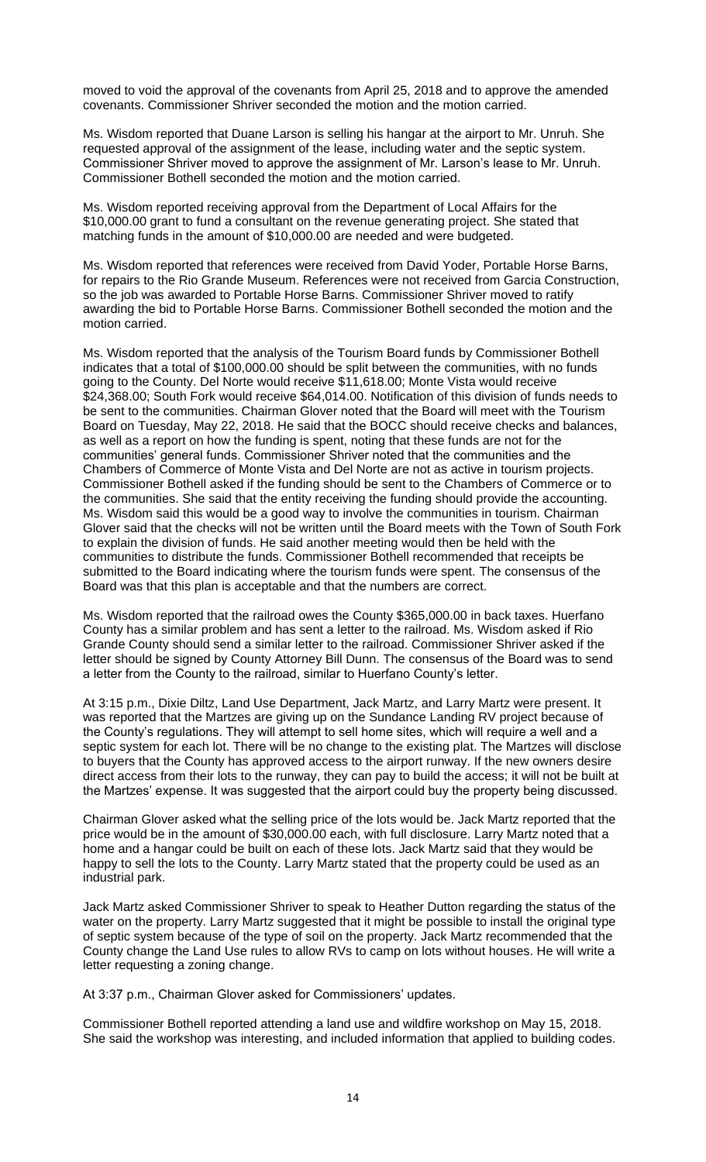moved to void the approval of the covenants from April 25, 2018 and to approve the amended covenants. Commissioner Shriver seconded the motion and the motion carried.

Ms. Wisdom reported that Duane Larson is selling his hangar at the airport to Mr. Unruh. She requested approval of the assignment of the lease, including water and the septic system. Commissioner Shriver moved to approve the assignment of Mr. Larson's lease to Mr. Unruh. Commissioner Bothell seconded the motion and the motion carried.

Ms. Wisdom reported receiving approval from the Department of Local Affairs for the \$10,000.00 grant to fund a consultant on the revenue generating project. She stated that matching funds in the amount of \$10,000.00 are needed and were budgeted.

Ms. Wisdom reported that references were received from David Yoder, Portable Horse Barns, for repairs to the Rio Grande Museum. References were not received from Garcia Construction, so the job was awarded to Portable Horse Barns. Commissioner Shriver moved to ratify awarding the bid to Portable Horse Barns. Commissioner Bothell seconded the motion and the motion carried.

Ms. Wisdom reported that the analysis of the Tourism Board funds by Commissioner Bothell indicates that a total of \$100,000.00 should be split between the communities, with no funds going to the County. Del Norte would receive \$11,618.00; Monte Vista would receive \$24,368.00; South Fork would receive \$64,014.00. Notification of this division of funds needs to be sent to the communities. Chairman Glover noted that the Board will meet with the Tourism Board on Tuesday, May 22, 2018. He said that the BOCC should receive checks and balances, as well as a report on how the funding is spent, noting that these funds are not for the communities' general funds. Commissioner Shriver noted that the communities and the Chambers of Commerce of Monte Vista and Del Norte are not as active in tourism projects. Commissioner Bothell asked if the funding should be sent to the Chambers of Commerce or to the communities. She said that the entity receiving the funding should provide the accounting. Ms. Wisdom said this would be a good way to involve the communities in tourism. Chairman Glover said that the checks will not be written until the Board meets with the Town of South Fork to explain the division of funds. He said another meeting would then be held with the communities to distribute the funds. Commissioner Bothell recommended that receipts be submitted to the Board indicating where the tourism funds were spent. The consensus of the Board was that this plan is acceptable and that the numbers are correct.

Ms. Wisdom reported that the railroad owes the County \$365,000.00 in back taxes. Huerfano County has a similar problem and has sent a letter to the railroad. Ms. Wisdom asked if Rio Grande County should send a similar letter to the railroad. Commissioner Shriver asked if the letter should be signed by County Attorney Bill Dunn. The consensus of the Board was to send a letter from the County to the railroad, similar to Huerfano County's letter.

At 3:15 p.m., Dixie Diltz, Land Use Department, Jack Martz, and Larry Martz were present. It was reported that the Martzes are giving up on the Sundance Landing RV project because of the County's regulations. They will attempt to sell home sites, which will require a well and a septic system for each lot. There will be no change to the existing plat. The Martzes will disclose to buyers that the County has approved access to the airport runway. If the new owners desire direct access from their lots to the runway, they can pay to build the access; it will not be built at the Martzes' expense. It was suggested that the airport could buy the property being discussed.

Chairman Glover asked what the selling price of the lots would be. Jack Martz reported that the price would be in the amount of \$30,000.00 each, with full disclosure. Larry Martz noted that a home and a hangar could be built on each of these lots. Jack Martz said that they would be happy to sell the lots to the County. Larry Martz stated that the property could be used as an industrial park.

Jack Martz asked Commissioner Shriver to speak to Heather Dutton regarding the status of the water on the property. Larry Martz suggested that it might be possible to install the original type of septic system because of the type of soil on the property. Jack Martz recommended that the County change the Land Use rules to allow RVs to camp on lots without houses. He will write a letter requesting a zoning change.

At 3:37 p.m., Chairman Glover asked for Commissioners' updates.

Commissioner Bothell reported attending a land use and wildfire workshop on May 15, 2018. She said the workshop was interesting, and included information that applied to building codes.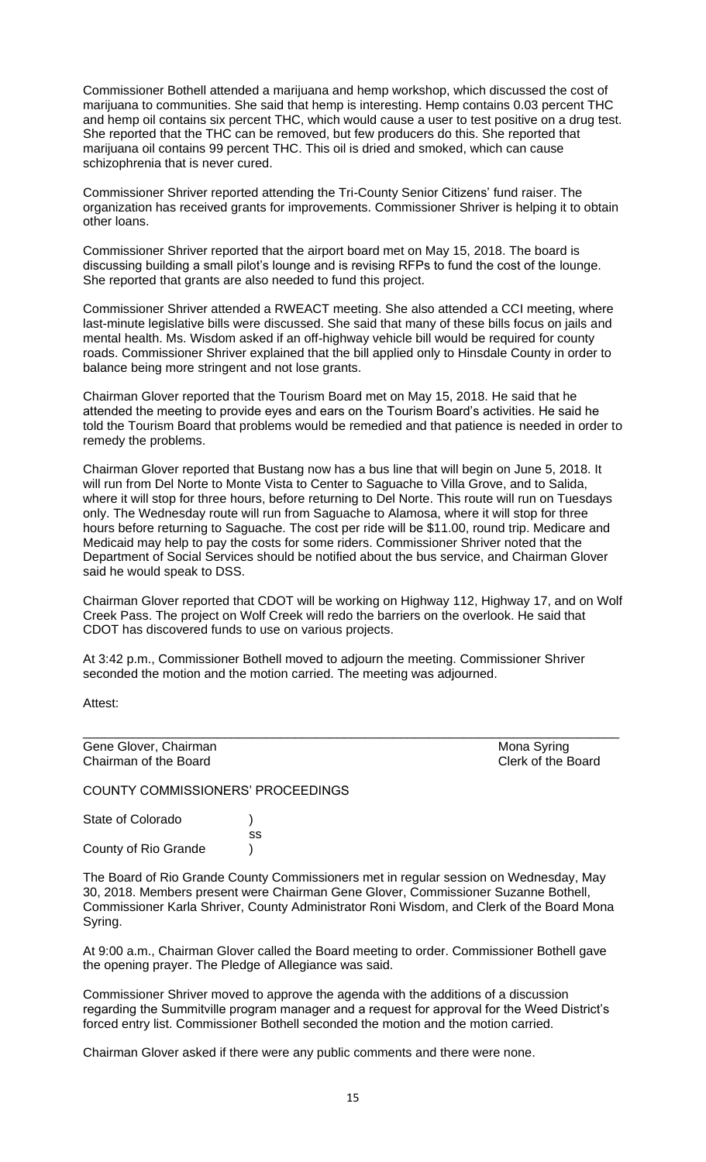Commissioner Bothell attended a marijuana and hemp workshop, which discussed the cost of marijuana to communities. She said that hemp is interesting. Hemp contains 0.03 percent THC and hemp oil contains six percent THC, which would cause a user to test positive on a drug test. She reported that the THC can be removed, but few producers do this. She reported that marijuana oil contains 99 percent THC. This oil is dried and smoked, which can cause schizophrenia that is never cured.

Commissioner Shriver reported attending the Tri-County Senior Citizens' fund raiser. The organization has received grants for improvements. Commissioner Shriver is helping it to obtain other loans.

Commissioner Shriver reported that the airport board met on May 15, 2018. The board is discussing building a small pilot's lounge and is revising RFPs to fund the cost of the lounge. She reported that grants are also needed to fund this project.

Commissioner Shriver attended a RWEACT meeting. She also attended a CCI meeting, where last-minute legislative bills were discussed. She said that many of these bills focus on jails and mental health. Ms. Wisdom asked if an off-highway vehicle bill would be required for county roads. Commissioner Shriver explained that the bill applied only to Hinsdale County in order to balance being more stringent and not lose grants.

Chairman Glover reported that the Tourism Board met on May 15, 2018. He said that he attended the meeting to provide eyes and ears on the Tourism Board's activities. He said he told the Tourism Board that problems would be remedied and that patience is needed in order to remedy the problems.

Chairman Glover reported that Bustang now has a bus line that will begin on June 5, 2018. It will run from Del Norte to Monte Vista to Center to Saguache to Villa Grove, and to Salida, where it will stop for three hours, before returning to Del Norte. This route will run on Tuesdays only. The Wednesday route will run from Saguache to Alamosa, where it will stop for three hours before returning to Saguache. The cost per ride will be \$11.00, round trip. Medicare and Medicaid may help to pay the costs for some riders. Commissioner Shriver noted that the Department of Social Services should be notified about the bus service, and Chairman Glover said he would speak to DSS.

Chairman Glover reported that CDOT will be working on Highway 112, Highway 17, and on Wolf Creek Pass. The project on Wolf Creek will redo the barriers on the overlook. He said that CDOT has discovered funds to use on various projects.

\_\_\_\_\_\_\_\_\_\_\_\_\_\_\_\_\_\_\_\_\_\_\_\_\_\_\_\_\_\_\_\_\_\_\_\_\_\_\_\_\_\_\_\_\_\_\_\_\_\_\_\_\_\_\_\_\_\_\_\_\_\_\_\_\_\_\_\_\_\_\_\_\_\_\_\_

At 3:42 p.m., Commissioner Bothell moved to adjourn the meeting. Commissioner Shriver seconded the motion and the motion carried. The meeting was adjourned.

Attest:

Gene Glover, Chairman Mona Syring Chairman of the Board Chairman of the Board

COUNTY COMMISSIONERS' PROCEEDINGS

State of Colorado (a) ss County of Rio Grande )

The Board of Rio Grande County Commissioners met in regular session on Wednesday, May 30, 2018. Members present were Chairman Gene Glover, Commissioner Suzanne Bothell, Commissioner Karla Shriver, County Administrator Roni Wisdom, and Clerk of the Board Mona Syring.

At 9:00 a.m., Chairman Glover called the Board meeting to order. Commissioner Bothell gave the opening prayer. The Pledge of Allegiance was said.

Commissioner Shriver moved to approve the agenda with the additions of a discussion regarding the Summitville program manager and a request for approval for the Weed District's forced entry list. Commissioner Bothell seconded the motion and the motion carried.

Chairman Glover asked if there were any public comments and there were none.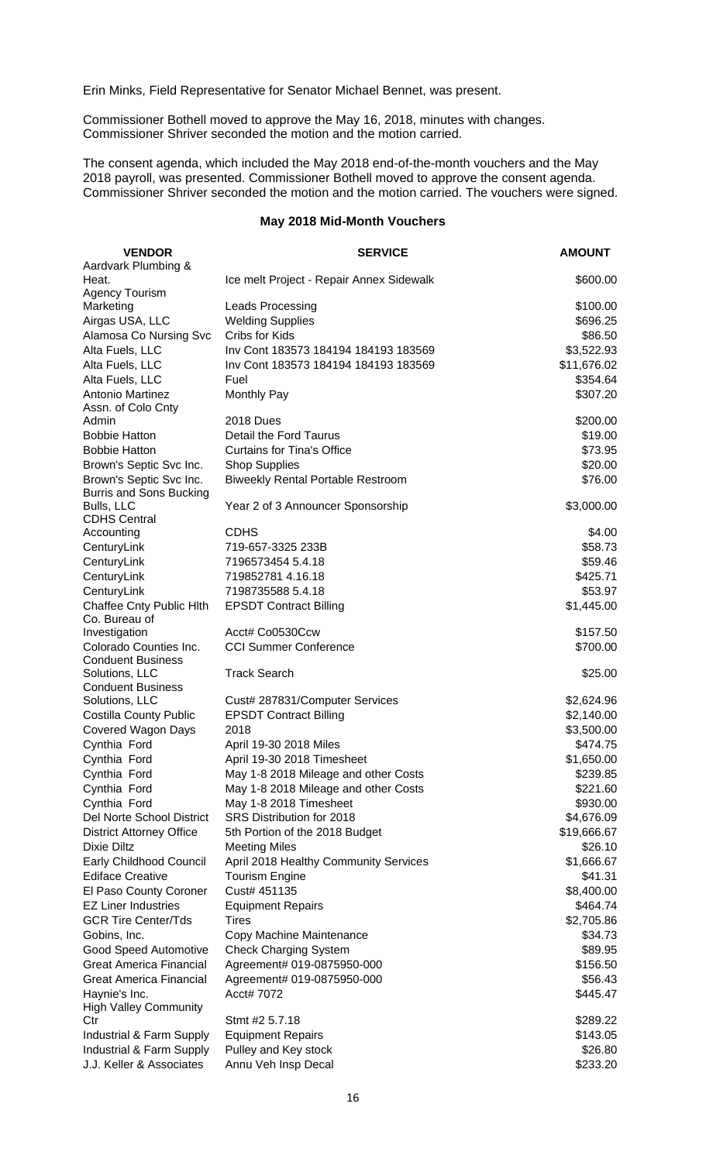Erin Minks, Field Representative for Senator Michael Bennet, was present.

Commissioner Bothell moved to approve the May 16, 2018, minutes with changes. Commissioner Shriver seconded the motion and the motion carried.

The consent agenda, which included the May 2018 end-of-the-month vouchers and the May 2018 payroll, was presented. Commissioner Bothell moved to approve the consent agenda. Commissioner Shriver seconded the motion and the motion carried. The vouchers were signed.

## **May 2018 Mid-Month Vouchers**

| <b>VENDOR</b>                                      | <b>SERVICE</b>                           | <b>AMOUNT</b> |
|----------------------------------------------------|------------------------------------------|---------------|
| Aardvark Plumbing &                                |                                          |               |
| Heat.                                              | Ice melt Project - Repair Annex Sidewalk | \$600.00      |
| <b>Agency Tourism</b><br>Marketing                 | Leads Processing                         | \$100.00      |
| Airgas USA, LLC                                    | <b>Welding Supplies</b>                  | \$696.25      |
| Alamosa Co Nursing Svc                             | <b>Cribs for Kids</b>                    | \$86.50       |
| Alta Fuels, LLC                                    | Inv Cont 183573 184194 184193 183569     | \$3,522.93    |
| Alta Fuels, LLC                                    | Inv Cont 183573 184194 184193 183569     | \$11,676.02   |
| Alta Fuels, LLC                                    | Fuel                                     | \$354.64      |
| Antonio Martinez                                   | Monthly Pay                              | \$307.20      |
| Assn. of Colo Cnty                                 |                                          |               |
| Admin                                              | <b>2018 Dues</b>                         | \$200.00      |
| <b>Bobbie Hatton</b>                               | Detail the Ford Taurus                   | \$19.00       |
| <b>Bobbie Hatton</b>                               | <b>Curtains for Tina's Office</b>        | \$73.95       |
| Brown's Septic Svc Inc.                            | <b>Shop Supplies</b>                     | \$20.00       |
| Brown's Septic Svc Inc.                            | <b>Biweekly Rental Portable Restroom</b> | \$76.00       |
| <b>Burris and Sons Bucking</b>                     |                                          |               |
| Bulls, LLC                                         | Year 2 of 3 Announcer Sponsorship        | \$3,000.00    |
| <b>CDHS Central</b>                                |                                          |               |
| Accounting                                         | <b>CDHS</b>                              | \$4.00        |
| CenturyLink                                        | 719-657-3325 233B                        | \$58.73       |
| CenturyLink                                        | 7196573454 5.4.18                        | \$59.46       |
| CenturyLink                                        | 719852781 4.16.18                        | \$425.71      |
| CenturyLink                                        | 7198735588 5.4.18                        | \$53.97       |
| Chaffee Cnty Public Hlth                           | <b>EPSDT Contract Billing</b>            | \$1,445.00    |
| Co. Bureau of                                      |                                          |               |
| Investigation                                      | Acct# Co0530Ccw                          | \$157.50      |
| Colorado Counties Inc.<br><b>Conduent Business</b> | <b>CCI Summer Conference</b>             | \$700.00      |
| Solutions, LLC                                     | <b>Track Search</b>                      | \$25.00       |
| <b>Conduent Business</b>                           |                                          |               |
| Solutions, LLC                                     | Cust# 287831/Computer Services           | \$2,624.96    |
| <b>Costilla County Public</b>                      | <b>EPSDT Contract Billing</b>            | \$2,140.00    |
| <b>Covered Wagon Days</b>                          | 2018                                     | \$3,500.00    |
| Cynthia Ford                                       | April 19-30 2018 Miles                   | \$474.75      |
| Cynthia Ford                                       | April 19-30 2018 Timesheet               | \$1,650.00    |
| Cynthia Ford                                       | May 1-8 2018 Mileage and other Costs     | \$239.85      |
| Cynthia Ford                                       | May 1-8 2018 Mileage and other Costs     | \$221.60      |
| Cynthia Ford                                       | May 1-8 2018 Timesheet                   | \$930.00      |
| Del Norte School District                          | SRS Distribution for 2018                | \$4,676.09    |
| <b>District Attorney Office</b>                    | 5th Portion of the 2018 Budget           | \$19,666.67   |
| Dixie Diltz                                        | <b>Meeting Miles</b>                     | \$26.10       |
| <b>Early Childhood Council</b>                     | April 2018 Healthy Community Services    | \$1,666.67    |
| <b>Ediface Creative</b>                            | <b>Tourism Engine</b>                    | \$41.31       |
| El Paso County Coroner                             | Cust# 451135                             | \$8,400.00    |
| <b>EZ Liner Industries</b>                         | <b>Equipment Repairs</b>                 | \$464.74      |
| <b>GCR Tire Center/Tds</b>                         | Tires                                    | \$2,705.86    |
| Gobins, Inc.                                       | Copy Machine Maintenance                 | \$34.73       |
| Good Speed Automotive                              | <b>Check Charging System</b>             | \$89.95       |
| <b>Great America Financial</b>                     | Agreement# 019-0875950-000               | \$156.50      |
| <b>Great America Financial</b>                     | Agreement# 019-0875950-000               | \$56.43       |
| Haynie's Inc.                                      | Acct# 7072                               | \$445.47      |
| <b>High Valley Community</b>                       |                                          |               |
| Ctr                                                | Stmt #2 5.7.18                           | \$289.22      |
| Industrial & Farm Supply                           | <b>Equipment Repairs</b>                 | \$143.05      |
| Industrial & Farm Supply                           | Pulley and Key stock                     | \$26.80       |
| J.J. Keller & Associates                           | Annu Veh Insp Decal                      | \$233.20      |
|                                                    |                                          |               |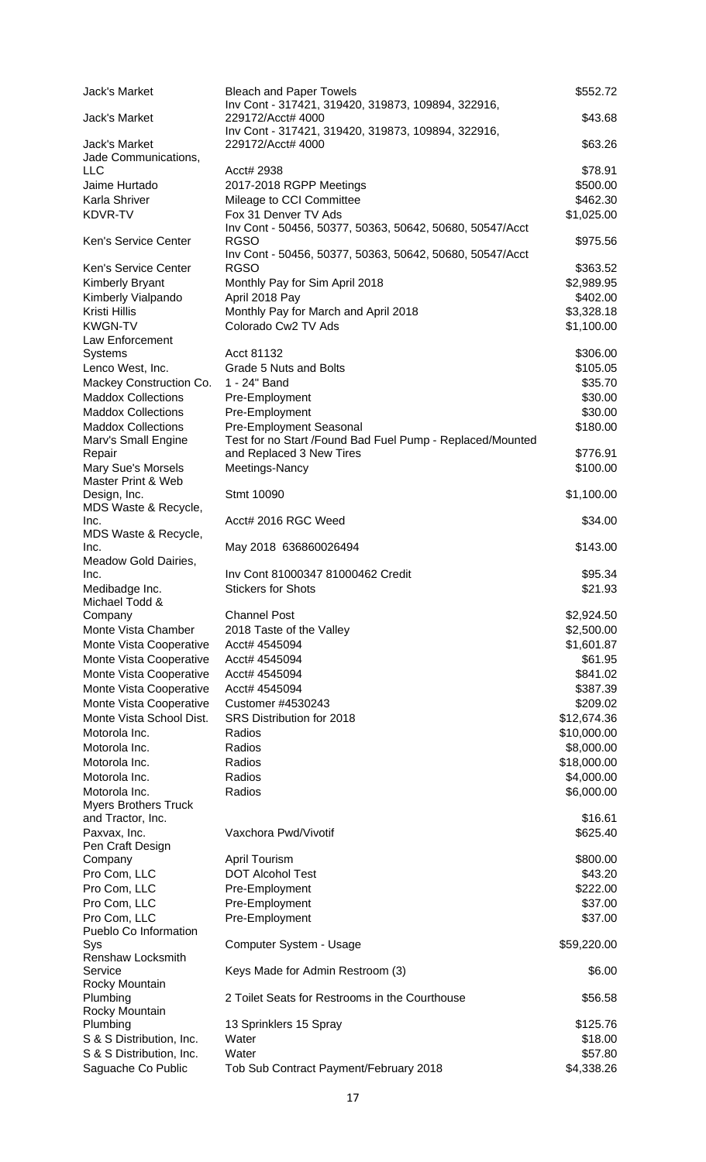| Jack's Market                            | <b>Bleach and Paper Towels</b><br>Inv Cont - 317421, 319420, 319873, 109894, 322916, | \$552.72              |
|------------------------------------------|--------------------------------------------------------------------------------------|-----------------------|
| Jack's Market                            | 229172/Acct# 4000<br>Inv Cont - 317421, 319420, 319873, 109894, 322916,              | \$43.68               |
| Jack's Market<br>Jade Communications,    | 229172/Acct# 4000                                                                    | \$63.26               |
| LLC                                      | Acct# 2938                                                                           | \$78.91               |
| Jaime Hurtado                            | 2017-2018 RGPP Meetings                                                              | \$500.00              |
| Karla Shriver                            | Mileage to CCI Committee                                                             | \$462.30              |
| <b>KDVR-TV</b>                           | Fox 31 Denver TV Ads<br>Inv Cont - 50456, 50377, 50363, 50642, 50680, 50547/Acct     | \$1,025.00            |
| Ken's Service Center                     | <b>RGSO</b><br>Inv Cont - 50456, 50377, 50363, 50642, 50680, 50547/Acct              | \$975.56              |
| Ken's Service Center                     | <b>RGSO</b>                                                                          | \$363.52              |
| <b>Kimberly Bryant</b>                   | Monthly Pay for Sim April 2018                                                       | \$2,989.95            |
| Kimberly Vialpando                       | April 2018 Pay                                                                       | \$402.00              |
| Kristi Hillis                            | Monthly Pay for March and April 2018                                                 | \$3,328.18            |
| <b>KWGN-TV</b><br>Law Enforcement        | Colorado Cw2 TV Ads                                                                  | \$1,100.00            |
| Systems                                  | Acct 81132                                                                           | \$306.00              |
| Lenco West, Inc.                         | Grade 5 Nuts and Bolts                                                               | \$105.05              |
| Mackey Construction Co.                  | 1 - 24" Band                                                                         | \$35.70               |
| <b>Maddox Collections</b>                | Pre-Employment                                                                       | \$30.00               |
| <b>Maddox Collections</b>                | Pre-Employment                                                                       | \$30.00               |
| <b>Maddox Collections</b>                | Pre-Employment Seasonal                                                              | \$180.00              |
| Marv's Small Engine                      | Test for no Start /Found Bad Fuel Pump - Replaced/Mounted                            |                       |
| Repair                                   | and Replaced 3 New Tires                                                             | \$776.91              |
| Mary Sue's Morsels<br>Master Print & Web | Meetings-Nancy                                                                       | \$100.00              |
| Design, Inc.<br>MDS Waste & Recycle,     | Stmt 10090                                                                           | \$1,100.00            |
| Inc.<br>MDS Waste & Recycle,             | Acct# 2016 RGC Weed                                                                  | \$34.00               |
| Inc.<br>Meadow Gold Dairies,             | May 2018 636860026494                                                                | \$143.00              |
| Inc.                                     | Inv Cont 81000347 81000462 Credit                                                    | \$95.34               |
| Medibadge Inc.                           | <b>Stickers for Shots</b>                                                            | \$21.93               |
| Michael Todd &<br>Company                | <b>Channel Post</b>                                                                  | \$2,924.50            |
| Monte Vista Chamber                      | 2018 Taste of the Valley                                                             | \$2,500.00            |
| Monte Vista Cooperative                  | Acct# 4545094                                                                        | \$1,601.87            |
| Monte Vista Cooperative                  | Acct# 4545094                                                                        | \$61.95               |
| Monte Vista Cooperative                  | Acct# 4545094                                                                        | \$841.02              |
| Monte Vista Cooperative                  | Acct# 4545094                                                                        | \$387.39              |
| Monte Vista Cooperative                  | Customer #4530243                                                                    | \$209.02              |
| Monte Vista School Dist.                 | SRS Distribution for 2018                                                            | \$12,674.36           |
| Motorola Inc.                            | Radios                                                                               | \$10,000.00           |
| Motorola Inc.                            | Radios                                                                               | \$8,000.00            |
| Motorola Inc.                            | Radios                                                                               | \$18,000.00           |
| Motorola Inc.                            | Radios                                                                               | \$4,000.00            |
| Motorola Inc.                            | Radios                                                                               | \$6,000.00            |
| <b>Myers Brothers Truck</b>              |                                                                                      |                       |
| and Tractor, Inc.                        |                                                                                      | \$16.61               |
| Paxvax, Inc.                             | Vaxchora Pwd/Vivotif                                                                 | \$625.40              |
| Pen Craft Design                         |                                                                                      |                       |
| Company                                  | April Tourism                                                                        | \$800.00              |
| Pro Com, LLC                             | <b>DOT Alcohol Test</b>                                                              | \$43.20               |
| Pro Com, LLC                             | Pre-Employment                                                                       | \$222.00              |
| Pro Com, LLC                             | Pre-Employment                                                                       | \$37.00               |
| Pro Com, LLC<br>Pueblo Co Information    | Pre-Employment                                                                       | \$37.00               |
| Sys<br>Renshaw Locksmith<br>Service      | Computer System - Usage<br>Keys Made for Admin Restroom (3)                          | \$59,220.00<br>\$6.00 |
| Rocky Mountain<br>Plumbing               | 2 Toilet Seats for Restrooms in the Courthouse                                       | \$56.58               |
| Rocky Mountain                           |                                                                                      |                       |
| Plumbing                                 | 13 Sprinklers 15 Spray                                                               | \$125.76              |
| S & S Distribution, Inc.                 | Water                                                                                | \$18.00               |
| S & S Distribution, Inc.                 | Water                                                                                | \$57.80               |
| Saguache Co Public                       | Tob Sub Contract Payment/February 2018                                               | \$4,338.26            |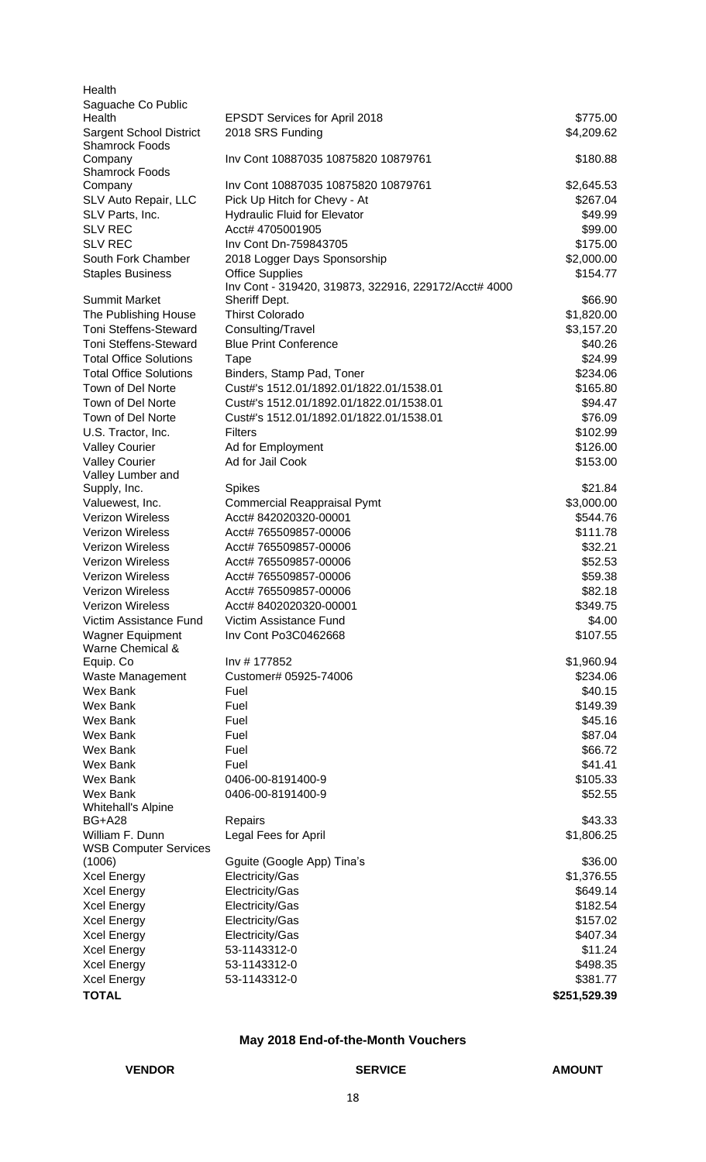| Health                                                  |                                                      |              |
|---------------------------------------------------------|------------------------------------------------------|--------------|
| Saguache Co Public<br>Health                            | <b>EPSDT Services for April 2018</b>                 | \$775.00     |
| <b>Sargent School District</b><br><b>Shamrock Foods</b> | 2018 SRS Funding                                     | \$4,209.62   |
| Company<br><b>Shamrock Foods</b>                        | Inv Cont 10887035 10875820 10879761                  | \$180.88     |
| Company                                                 | Inv Cont 10887035 10875820 10879761                  | \$2,645.53   |
| SLV Auto Repair, LLC                                    | Pick Up Hitch for Chevy - At                         | \$267.04     |
| SLV Parts, Inc.                                         | <b>Hydraulic Fluid for Elevator</b>                  | \$49.99      |
| <b>SLV REC</b>                                          | Acct# 4705001905                                     | \$99.00      |
| <b>SLV REC</b>                                          | Inv Cont Dn-759843705                                | \$175.00     |
| South Fork Chamber                                      | 2018 Logger Days Sponsorship                         | \$2,000.00   |
| <b>Staples Business</b>                                 | <b>Office Supplies</b>                               | \$154.77     |
|                                                         | Inv Cont - 319420, 319873, 322916, 229172/Acct# 4000 |              |
| <b>Summit Market</b>                                    | Sheriff Dept.                                        | \$66.90      |
| The Publishing House                                    | <b>Thirst Colorado</b>                               | \$1,820.00   |
| <b>Toni Steffens-Steward</b>                            | Consulting/Travel                                    | \$3,157.20   |
| <b>Toni Steffens-Steward</b>                            | <b>Blue Print Conference</b>                         | \$40.26      |
| <b>Total Office Solutions</b>                           | Tape                                                 | \$24.99      |
| <b>Total Office Solutions</b>                           | Binders, Stamp Pad, Toner                            | \$234.06     |
| Town of Del Norte                                       | Cust#'s 1512.01/1892.01/1822.01/1538.01              | \$165.80     |
| Town of Del Norte                                       | Cust#'s 1512.01/1892.01/1822.01/1538.01              | \$94.47      |
| Town of Del Norte                                       | Cust#'s 1512.01/1892.01/1822.01/1538.01              | \$76.09      |
| U.S. Tractor, Inc.                                      | <b>Filters</b>                                       | \$102.99     |
| <b>Valley Courier</b>                                   | Ad for Employment                                    | \$126.00     |
| <b>Valley Courier</b>                                   | Ad for Jail Cook                                     | \$153.00     |
| Valley Lumber and<br>Supply, Inc.                       | <b>Spikes</b>                                        | \$21.84      |
| Valuewest, Inc.                                         | <b>Commercial Reappraisal Pymt</b>                   | \$3,000.00   |
| <b>Verizon Wireless</b>                                 | Acct# 842020320-00001                                | \$544.76     |
| <b>Verizon Wireless</b>                                 | Acct# 765509857-00006                                | \$111.78     |
| <b>Verizon Wireless</b>                                 | Acct# 765509857-00006                                | \$32.21      |
| <b>Verizon Wireless</b>                                 | Acct# 765509857-00006                                | \$52.53      |
| <b>Verizon Wireless</b>                                 | Acct# 765509857-00006                                | \$59.38      |
| <b>Verizon Wireless</b>                                 | Acct# 765509857-00006                                | \$82.18      |
| <b>Verizon Wireless</b>                                 | Acct# 8402020320-00001                               | \$349.75     |
| Victim Assistance Fund                                  | Victim Assistance Fund                               | \$4.00       |
| <b>Wagner Equipment</b>                                 | Inv Cont Po3C0462668                                 | \$107.55     |
| Warne Chemical &                                        |                                                      |              |
| Equip. Co                                               | Inv # 177852                                         | \$1,960.94   |
| Waste Management                                        | Customer# 05925-74006                                | \$234.06     |
| Wex Bank                                                | Fuel                                                 | \$40.15      |
| <b>Wex Bank</b>                                         | Fuel                                                 | \$149.39     |
| <b>Wex Bank</b>                                         | Fuel                                                 | \$45.16      |
| <b>Wex Bank</b>                                         | Fuel                                                 | \$87.04      |
| Wex Bank                                                | Fuel                                                 | \$66.72      |
| Wex Bank                                                | Fuel                                                 | \$41.41      |
| Wex Bank                                                | 0406-00-8191400-9                                    | \$105.33     |
| Wex Bank                                                | 0406-00-8191400-9                                    | \$52.55      |
| <b>Whitehall's Alpine</b><br><b>BG+A28</b>              | Repairs                                              | \$43.33      |
| William F. Dunn                                         | Legal Fees for April                                 | \$1,806.25   |
| <b>WSB Computer Services</b>                            |                                                      |              |
| (1006)                                                  | Gguite (Google App) Tina's                           | \$36.00      |
| Xcel Energy                                             | Electricity/Gas                                      | \$1,376.55   |
| <b>Xcel Energy</b>                                      | Electricity/Gas                                      | \$649.14     |
| <b>Xcel Energy</b>                                      | Electricity/Gas                                      | \$182.54     |
| <b>Xcel Energy</b>                                      | Electricity/Gas                                      | \$157.02     |
| <b>Xcel Energy</b>                                      | Electricity/Gas                                      | \$407.34     |
| <b>Xcel Energy</b>                                      | 53-1143312-0                                         | \$11.24      |
| <b>Xcel Energy</b>                                      | 53-1143312-0                                         | \$498.35     |
| <b>Xcel Energy</b>                                      | 53-1143312-0                                         | \$381.77     |
| <b>TOTAL</b>                                            |                                                      | \$251,529.39 |

# **May 2018 End-of-the-Month Vouchers**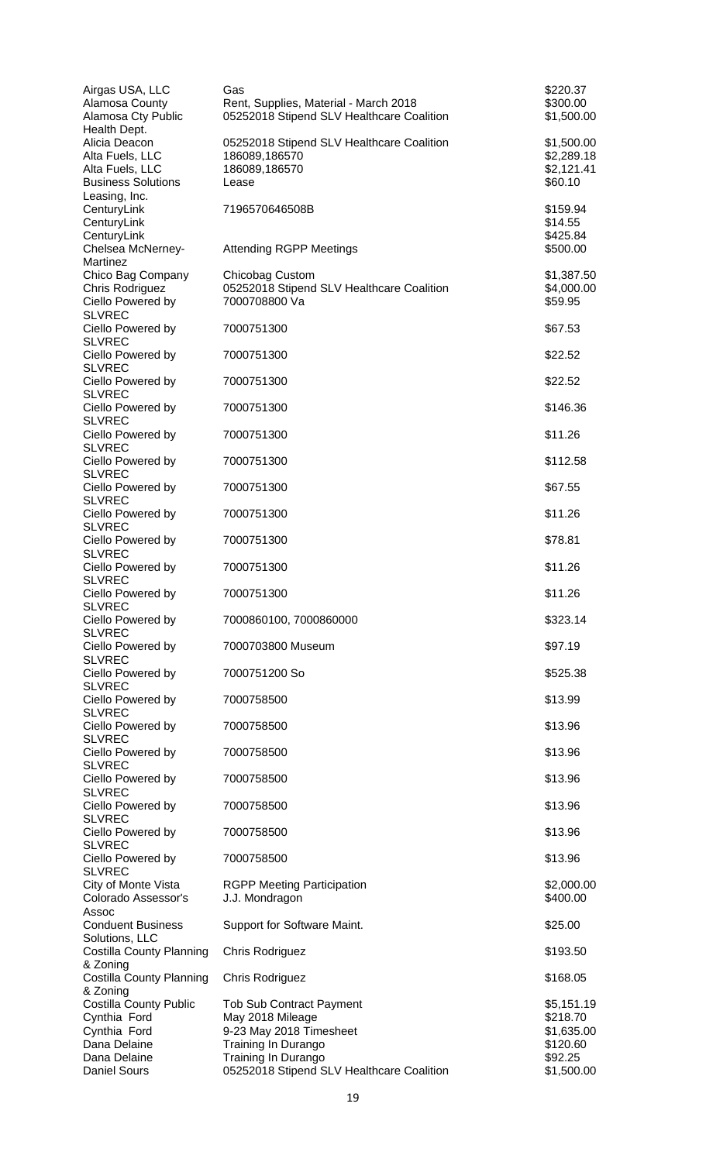| Airgas USA, LLC                      | Gas                                                                                | \$220.37               |
|--------------------------------------|------------------------------------------------------------------------------------|------------------------|
| Alamosa County<br>Alamosa Cty Public | Rent, Supplies, Material - March 2018<br>05252018 Stipend SLV Healthcare Coalition | \$300.00<br>\$1,500.00 |
| Health Dept.<br>Alicia Deacon        | 05252018 Stipend SLV Healthcare Coalition                                          | \$1,500.00             |
| Alta Fuels, LLC                      | 186089,186570                                                                      | \$2,289.18             |
| Alta Fuels, LLC                      | 186089,186570                                                                      | \$2,121.41             |
| <b>Business Solutions</b>            | Lease                                                                              | \$60.10                |
| Leasing, Inc.                        |                                                                                    |                        |
| CenturyLink                          | 7196570646508B                                                                     | \$159.94               |
| CenturyLink                          |                                                                                    | \$14.55                |
| CenturyLink<br>Chelsea McNerney-     | <b>Attending RGPP Meetings</b>                                                     | \$425.84<br>\$500.00   |
| Martinez                             |                                                                                    |                        |
| Chico Bag Company                    | Chicobag Custom                                                                    | \$1,387.50             |
| Chris Rodriguez                      | 05252018 Stipend SLV Healthcare Coalition                                          | \$4,000.00             |
| Ciello Powered by                    | 7000708800 Va                                                                      | \$59.95                |
| SLVREC                               |                                                                                    |                        |
| Ciello Powered by                    | 7000751300                                                                         | \$67.53                |
| <b>SLVREC</b><br>Ciello Powered by   | 7000751300                                                                         | \$22.52                |
| <b>SLVREC</b>                        |                                                                                    |                        |
| Ciello Powered by                    | 7000751300                                                                         | \$22.52                |
| <b>SLVREC</b>                        |                                                                                    |                        |
| Ciello Powered by                    | 7000751300                                                                         | \$146.36               |
| <b>SLVREC</b>                        |                                                                                    |                        |
| Ciello Powered by                    | 7000751300                                                                         | \$11.26                |
| <b>SLVREC</b>                        |                                                                                    |                        |
| Ciello Powered by<br><b>SLVREC</b>   | 7000751300                                                                         | \$112.58               |
| Ciello Powered by                    | 7000751300                                                                         | \$67.55                |
| <b>SLVREC</b>                        |                                                                                    |                        |
| Ciello Powered by                    | 7000751300                                                                         | \$11.26                |
| <b>SLVREC</b>                        |                                                                                    |                        |
| Ciello Powered by                    | 7000751300                                                                         | \$78.81                |
| <b>SLVREC</b>                        |                                                                                    |                        |
| Ciello Powered by                    | 7000751300                                                                         | \$11.26                |
| <b>SLVREC</b><br>Ciello Powered by   | 7000751300                                                                         | \$11.26                |
| <b>SLVREC</b>                        |                                                                                    |                        |
| Ciello Powered by                    | 7000860100, 7000860000                                                             | \$323.14               |
| SLVREC                               |                                                                                    |                        |
| Ciello Powered by                    | 7000703800 Museum                                                                  | \$97.19                |
| <b>SLVREC</b>                        |                                                                                    |                        |
| Ciello Powered by                    | 7000751200 So                                                                      | \$525.38               |
| <b>SLVREC</b><br>Ciello Powered by   | 7000758500                                                                         | \$13.99                |
| <b>SLVREC</b>                        |                                                                                    |                        |
| Ciello Powered by                    | 7000758500                                                                         | \$13.96                |
| <b>SLVREC</b>                        |                                                                                    |                        |
| Ciello Powered by                    | 7000758500                                                                         | \$13.96                |
| <b>SLVREC</b>                        |                                                                                    |                        |
| Ciello Powered by                    | 7000758500                                                                         | \$13.96                |
| <b>SLVREC</b><br>Ciello Powered by   |                                                                                    | \$13.96                |
| <b>SLVREC</b>                        | 7000758500                                                                         |                        |
| Ciello Powered by                    | 7000758500                                                                         | \$13.96                |
| <b>SLVREC</b>                        |                                                                                    |                        |
| Ciello Powered by                    | 7000758500                                                                         | \$13.96                |
| <b>SLVREC</b>                        |                                                                                    |                        |
| City of Monte Vista                  | <b>RGPP Meeting Participation</b>                                                  | \$2,000.00             |
| Colorado Assessor's                  | J.J. Mondragon                                                                     | \$400.00               |
| Assoc<br><b>Conduent Business</b>    | Support for Software Maint.                                                        | \$25.00                |
| Solutions, LLC                       |                                                                                    |                        |
| Costilla County Planning             | Chris Rodriguez                                                                    | \$193.50               |
| & Zoning                             |                                                                                    |                        |
| <b>Costilla County Planning</b>      | Chris Rodriguez                                                                    | \$168.05               |
| & Zoning                             |                                                                                    |                        |
| Costilla County Public               | <b>Tob Sub Contract Payment</b>                                                    | \$5,151.19             |
| Cynthia Ford<br>Cynthia Ford         | May 2018 Mileage<br>9-23 May 2018 Timesheet                                        | \$218.70               |
| Dana Delaine                         | Training In Durango                                                                | \$1,635.00<br>\$120.60 |
| Dana Delaine                         | Training In Durango                                                                | \$92.25                |
| <b>Daniel Sours</b>                  | 05252018 Stipend SLV Healthcare Coalition                                          | \$1,500.00             |
|                                      |                                                                                    |                        |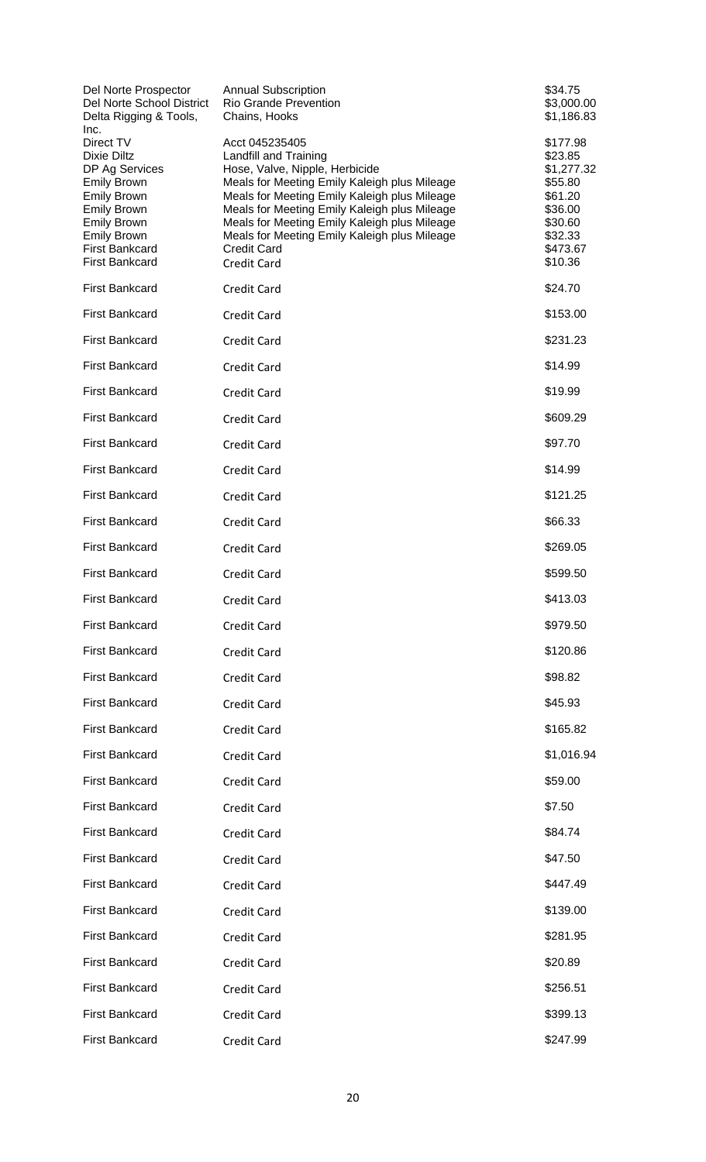| Del Norte Prospector<br>Del Norte School District<br>Delta Rigging & Tools,                                                                                                                                               | <b>Annual Subscription</b><br><b>Rio Grande Prevention</b><br>Chains, Hooks                                                                                                                                                                                                                                                                                                  | \$34.75<br>\$3,000.00<br>\$1,186.83                                                                             |
|---------------------------------------------------------------------------------------------------------------------------------------------------------------------------------------------------------------------------|------------------------------------------------------------------------------------------------------------------------------------------------------------------------------------------------------------------------------------------------------------------------------------------------------------------------------------------------------------------------------|-----------------------------------------------------------------------------------------------------------------|
| Inc.<br>Direct TV<br><b>Dixie Diltz</b><br>DP Ag Services<br><b>Emily Brown</b><br><b>Emily Brown</b><br><b>Emily Brown</b><br><b>Emily Brown</b><br><b>Emily Brown</b><br><b>First Bankcard</b><br><b>First Bankcard</b> | Acct 045235405<br><b>Landfill and Training</b><br>Hose, Valve, Nipple, Herbicide<br>Meals for Meeting Emily Kaleigh plus Mileage<br>Meals for Meeting Emily Kaleigh plus Mileage<br>Meals for Meeting Emily Kaleigh plus Mileage<br>Meals for Meeting Emily Kaleigh plus Mileage<br>Meals for Meeting Emily Kaleigh plus Mileage<br><b>Credit Card</b><br><b>Credit Card</b> | \$177.98<br>\$23.85<br>\$1,277.32<br>\$55.80<br>\$61.20<br>\$36.00<br>\$30.60<br>\$32.33<br>\$473.67<br>\$10.36 |
| <b>First Bankcard</b>                                                                                                                                                                                                     | <b>Credit Card</b>                                                                                                                                                                                                                                                                                                                                                           | \$24.70                                                                                                         |
| <b>First Bankcard</b>                                                                                                                                                                                                     | <b>Credit Card</b>                                                                                                                                                                                                                                                                                                                                                           | \$153.00                                                                                                        |
| <b>First Bankcard</b>                                                                                                                                                                                                     | <b>Credit Card</b>                                                                                                                                                                                                                                                                                                                                                           | \$231.23                                                                                                        |
| <b>First Bankcard</b>                                                                                                                                                                                                     | <b>Credit Card</b>                                                                                                                                                                                                                                                                                                                                                           | \$14.99                                                                                                         |
| <b>First Bankcard</b>                                                                                                                                                                                                     | <b>Credit Card</b>                                                                                                                                                                                                                                                                                                                                                           | \$19.99                                                                                                         |
| <b>First Bankcard</b>                                                                                                                                                                                                     | <b>Credit Card</b>                                                                                                                                                                                                                                                                                                                                                           | \$609.29                                                                                                        |
| <b>First Bankcard</b>                                                                                                                                                                                                     | <b>Credit Card</b>                                                                                                                                                                                                                                                                                                                                                           | \$97.70                                                                                                         |
| <b>First Bankcard</b>                                                                                                                                                                                                     | <b>Credit Card</b>                                                                                                                                                                                                                                                                                                                                                           | \$14.99                                                                                                         |
| <b>First Bankcard</b>                                                                                                                                                                                                     | <b>Credit Card</b>                                                                                                                                                                                                                                                                                                                                                           | \$121.25                                                                                                        |
| <b>First Bankcard</b>                                                                                                                                                                                                     | <b>Credit Card</b>                                                                                                                                                                                                                                                                                                                                                           | \$66.33                                                                                                         |
| <b>First Bankcard</b>                                                                                                                                                                                                     | <b>Credit Card</b>                                                                                                                                                                                                                                                                                                                                                           | \$269.05                                                                                                        |
| <b>First Bankcard</b>                                                                                                                                                                                                     | <b>Credit Card</b>                                                                                                                                                                                                                                                                                                                                                           | \$599.50                                                                                                        |
| <b>First Bankcard</b>                                                                                                                                                                                                     | <b>Credit Card</b>                                                                                                                                                                                                                                                                                                                                                           | \$413.03                                                                                                        |
| <b>First Bankcard</b>                                                                                                                                                                                                     | <b>Credit Card</b>                                                                                                                                                                                                                                                                                                                                                           | \$979.50                                                                                                        |
| <b>First Bankcard</b>                                                                                                                                                                                                     | <b>Credit Card</b>                                                                                                                                                                                                                                                                                                                                                           | \$120.86                                                                                                        |
| <b>First Bankcard</b>                                                                                                                                                                                                     | <b>Credit Card</b>                                                                                                                                                                                                                                                                                                                                                           | \$98.82                                                                                                         |
| <b>First Bankcard</b>                                                                                                                                                                                                     | <b>Credit Card</b>                                                                                                                                                                                                                                                                                                                                                           | \$45.93                                                                                                         |
| <b>First Bankcard</b>                                                                                                                                                                                                     | <b>Credit Card</b>                                                                                                                                                                                                                                                                                                                                                           | \$165.82                                                                                                        |
| <b>First Bankcard</b>                                                                                                                                                                                                     | <b>Credit Card</b>                                                                                                                                                                                                                                                                                                                                                           | \$1,016.94                                                                                                      |
| <b>First Bankcard</b>                                                                                                                                                                                                     | <b>Credit Card</b>                                                                                                                                                                                                                                                                                                                                                           | \$59.00                                                                                                         |
| <b>First Bankcard</b>                                                                                                                                                                                                     | <b>Credit Card</b>                                                                                                                                                                                                                                                                                                                                                           | \$7.50                                                                                                          |
| <b>First Bankcard</b>                                                                                                                                                                                                     | <b>Credit Card</b>                                                                                                                                                                                                                                                                                                                                                           | \$84.74                                                                                                         |
| <b>First Bankcard</b>                                                                                                                                                                                                     | <b>Credit Card</b>                                                                                                                                                                                                                                                                                                                                                           | \$47.50                                                                                                         |
| <b>First Bankcard</b>                                                                                                                                                                                                     | <b>Credit Card</b>                                                                                                                                                                                                                                                                                                                                                           | \$447.49                                                                                                        |
| <b>First Bankcard</b>                                                                                                                                                                                                     | <b>Credit Card</b>                                                                                                                                                                                                                                                                                                                                                           | \$139.00                                                                                                        |
| <b>First Bankcard</b>                                                                                                                                                                                                     | <b>Credit Card</b>                                                                                                                                                                                                                                                                                                                                                           | \$281.95                                                                                                        |
| <b>First Bankcard</b>                                                                                                                                                                                                     | <b>Credit Card</b>                                                                                                                                                                                                                                                                                                                                                           | \$20.89                                                                                                         |
| <b>First Bankcard</b>                                                                                                                                                                                                     | <b>Credit Card</b>                                                                                                                                                                                                                                                                                                                                                           | \$256.51                                                                                                        |
| <b>First Bankcard</b>                                                                                                                                                                                                     | <b>Credit Card</b>                                                                                                                                                                                                                                                                                                                                                           | \$399.13                                                                                                        |
| <b>First Bankcard</b>                                                                                                                                                                                                     | Credit Card                                                                                                                                                                                                                                                                                                                                                                  | \$247.99                                                                                                        |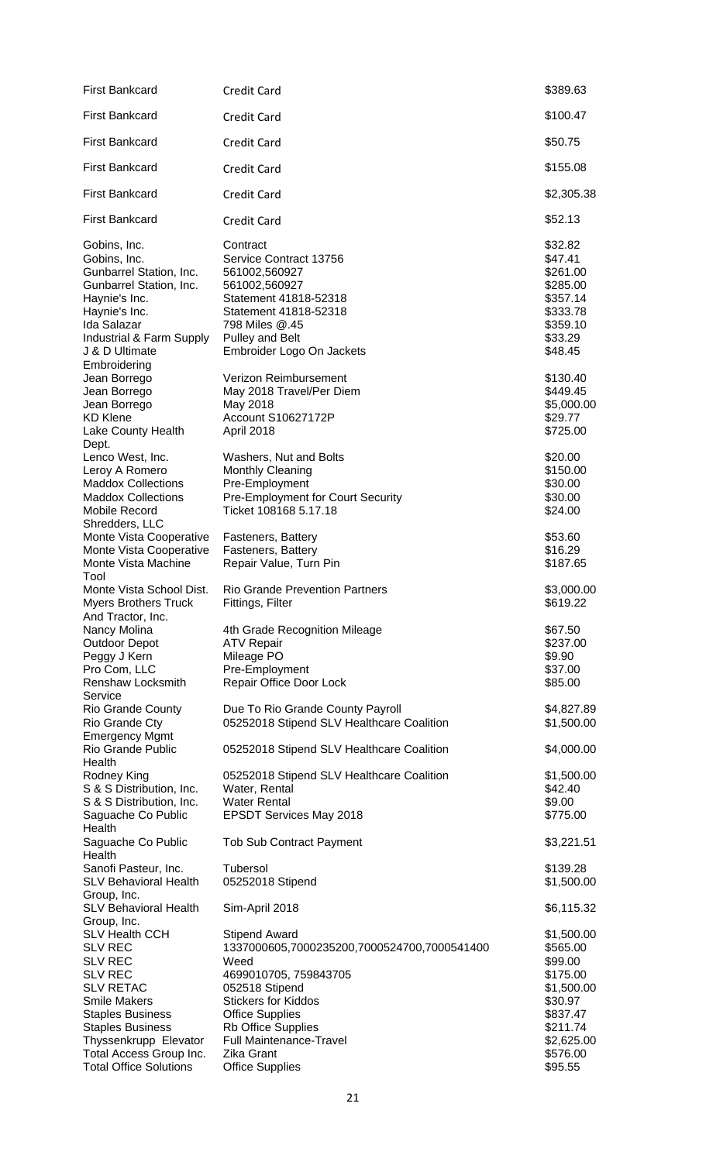| <b>First Bankcard</b>                                                                                                                                                                                                     | <b>Credit Card</b>                                                                                                                                                                                                                            | \$389.63                                                                                                     |
|---------------------------------------------------------------------------------------------------------------------------------------------------------------------------------------------------------------------------|-----------------------------------------------------------------------------------------------------------------------------------------------------------------------------------------------------------------------------------------------|--------------------------------------------------------------------------------------------------------------|
| <b>First Bankcard</b>                                                                                                                                                                                                     | <b>Credit Card</b>                                                                                                                                                                                                                            | \$100.47                                                                                                     |
| <b>First Bankcard</b>                                                                                                                                                                                                     | <b>Credit Card</b>                                                                                                                                                                                                                            | \$50.75                                                                                                      |
| <b>First Bankcard</b>                                                                                                                                                                                                     | <b>Credit Card</b>                                                                                                                                                                                                                            | \$155.08                                                                                                     |
| <b>First Bankcard</b>                                                                                                                                                                                                     | <b>Credit Card</b>                                                                                                                                                                                                                            | \$2,305.38                                                                                                   |
| <b>First Bankcard</b>                                                                                                                                                                                                     | <b>Credit Card</b>                                                                                                                                                                                                                            | \$52.13                                                                                                      |
| Gobins, Inc.<br>Gobins, Inc.<br>Gunbarrel Station, Inc.<br>Gunbarrel Station, Inc.<br>Haynie's Inc.<br>Haynie's Inc.<br>Ida Salazar<br>Industrial & Farm Supply<br>J & D Ultimate                                         | Contract<br>Service Contract 13756<br>561002,560927<br>561002,560927<br>Statement 41818-52318<br>Statement 41818-52318<br>798 Miles @.45<br>Pulley and Belt<br>Embroider Logo On Jackets                                                      | \$32.82<br>\$47.41<br>\$261.00<br>\$285.00<br>\$357.14<br>\$333.78<br>\$359.10<br>\$33.29<br>\$48.45         |
| Embroidering<br>Jean Borrego<br>Jean Borrego<br>Jean Borrego<br><b>KD Klene</b><br>Lake County Health<br>Dept.                                                                                                            | Verizon Reimbursement<br>May 2018 Travel/Per Diem<br>May 2018<br>Account S10627172P<br>April 2018                                                                                                                                             | \$130.40<br>\$449.45<br>\$5,000.00<br>\$29.77<br>\$725.00                                                    |
| Lenco West, Inc.<br>Leroy A Romero<br><b>Maddox Collections</b><br><b>Maddox Collections</b><br>Mobile Record<br>Shredders, LLC                                                                                           | Washers, Nut and Bolts<br>Monthly Cleaning<br>Pre-Employment<br>Pre-Employment for Court Security<br>Ticket 108168 5.17.18                                                                                                                    | \$20.00<br>\$150.00<br>\$30.00<br>\$30.00<br>\$24.00                                                         |
| Monte Vista Cooperative<br>Monte Vista Cooperative<br>Monte Vista Machine<br>Tool                                                                                                                                         | Fasteners, Battery<br>Fasteners, Battery<br>Repair Value, Turn Pin                                                                                                                                                                            | \$53.60<br>\$16.29<br>\$187.65                                                                               |
| Monte Vista School Dist.<br>Myers Brothers Truck<br>And Tractor, Inc.                                                                                                                                                     | <b>Rio Grande Prevention Partners</b><br>Fittings, Filter                                                                                                                                                                                     | \$3,000.00<br>\$619.22                                                                                       |
| Nancy Molina<br><b>Outdoor Depot</b><br>Peggy J Kern<br>Pro Com, LLC<br>Renshaw Locksmith<br>Service                                                                                                                      | 4th Grade Recognition Mileage<br><b>ATV Repair</b><br>Mileage PO<br>Pre-Employment<br>Repair Office Door Lock                                                                                                                                 | \$67.50<br>\$237.00<br>\$9.90<br>\$37.00<br>\$85.00                                                          |
| <b>Rio Grande County</b><br>Rio Grande Cty<br><b>Emergency Mgmt</b>                                                                                                                                                       | Due To Rio Grande County Payroll<br>05252018 Stipend SLV Healthcare Coalition                                                                                                                                                                 | \$4,827.89<br>\$1,500.00                                                                                     |
| <b>Rio Grande Public</b><br>Health                                                                                                                                                                                        | 05252018 Stipend SLV Healthcare Coalition                                                                                                                                                                                                     | \$4,000.00                                                                                                   |
| Rodney King<br>S & S Distribution, Inc.<br>S & S Distribution, Inc.<br>Saguache Co Public<br>Health                                                                                                                       | 05252018 Stipend SLV Healthcare Coalition<br>Water, Rental<br><b>Water Rental</b><br><b>EPSDT Services May 2018</b>                                                                                                                           | \$1,500.00<br>\$42.40<br>\$9.00<br>\$775.00                                                                  |
| Saguache Co Public<br>Health                                                                                                                                                                                              | <b>Tob Sub Contract Payment</b>                                                                                                                                                                                                               | \$3,221.51                                                                                                   |
| Sanofi Pasteur, Inc.<br><b>SLV Behavioral Health</b><br>Group, Inc.                                                                                                                                                       | <b>Tubersol</b><br>05252018 Stipend                                                                                                                                                                                                           | \$139.28<br>\$1,500.00                                                                                       |
| <b>SLV Behavioral Health</b><br>Group, Inc.                                                                                                                                                                               | Sim-April 2018                                                                                                                                                                                                                                | \$6,115.32                                                                                                   |
| SLV Health CCH<br><b>SLV REC</b><br><b>SLV REC</b><br><b>SLV REC</b><br><b>SLV RETAC</b><br><b>Smile Makers</b><br><b>Staples Business</b><br><b>Staples Business</b><br>Thyssenkrupp Elevator<br>Total Access Group Inc. | <b>Stipend Award</b><br>1337000605,7000235200,7000524700,7000541400<br>Weed<br>4699010705, 759843705<br>052518 Stipend<br><b>Stickers for Kiddos</b><br><b>Office Supplies</b><br><b>Rb Office Supplies</b><br><b>Full Maintenance-Travel</b> | \$1,500.00<br>\$565.00<br>\$99.00<br>\$175.00<br>\$1,500.00<br>\$30.97<br>\$837.47<br>\$211.74<br>\$2,625.00 |
| <b>Total Office Solutions</b>                                                                                                                                                                                             | Zika Grant<br><b>Office Supplies</b>                                                                                                                                                                                                          | \$576.00<br>\$95.55                                                                                          |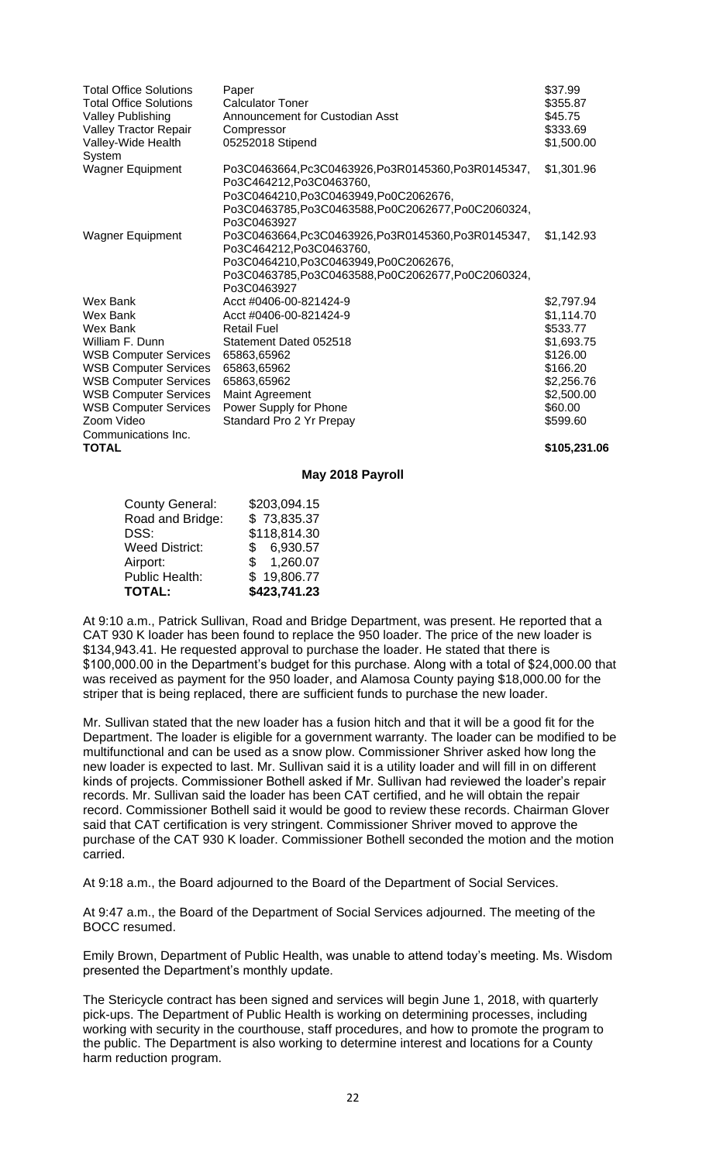| <b>Total Office Solutions</b><br><b>Total Office Solutions</b><br><b>Valley Publishing</b><br>Valley Tractor Repair<br>Valley-Wide Health<br>System | Paper<br><b>Calculator Toner</b><br>Announcement for Custodian Asst<br>Compressor<br>05252018 Stipend                                                                                           | \$37.99<br>\$355.87<br>\$45.75<br>\$333.69<br>\$1,500.00 |
|-----------------------------------------------------------------------------------------------------------------------------------------------------|-------------------------------------------------------------------------------------------------------------------------------------------------------------------------------------------------|----------------------------------------------------------|
| <b>Wagner Equipment</b>                                                                                                                             | Po3C0463664, Pc3C0463926, Po3R0145360, Po3R0145347,<br>Po3C464212, Po3C0463760,<br>Po3C0464210, Po3C0463949, Po0C2062676,<br>Po3C0463785, Po3C0463588, Po0C2062677, Po0C2060324,<br>Po3C0463927 | \$1,301.96                                               |
| <b>Wagner Equipment</b>                                                                                                                             | Po3C0463664, Pc3C0463926, Po3R0145360, Po3R0145347,<br>Po3C464212, Po3C0463760,<br>Po3C0464210, Po3C0463949, Po0C2062676,<br>Po3C0463785, Po3C0463588, Po0C2062677, Po0C2060324,<br>Po3C0463927 | \$1,142.93                                               |
| Wex Bank                                                                                                                                            | Acct #0406-00-821424-9                                                                                                                                                                          | \$2,797.94                                               |
| Wex Bank                                                                                                                                            | Acct #0406-00-821424-9                                                                                                                                                                          | \$1,114.70                                               |
| Wex Bank                                                                                                                                            | <b>Retail Fuel</b>                                                                                                                                                                              | \$533.77                                                 |
| William F. Dunn                                                                                                                                     | Statement Dated 052518                                                                                                                                                                          | \$1,693.75                                               |
| <b>WSB Computer Services</b>                                                                                                                        | 65863,65962                                                                                                                                                                                     | \$126.00                                                 |
| <b>WSB Computer Services</b>                                                                                                                        | 65863,65962                                                                                                                                                                                     | \$166.20                                                 |
| <b>WSB Computer Services</b>                                                                                                                        | 65863,65962                                                                                                                                                                                     | \$2,256.76                                               |
| <b>WSB Computer Services</b>                                                                                                                        | Maint Agreement                                                                                                                                                                                 | \$2,500.00                                               |
| <b>WSB Computer Services</b><br>Zoom Video                                                                                                          | Power Supply for Phone<br>Standard Pro 2 Yr Prepay                                                                                                                                              | \$60.00<br>\$599.60                                      |
| Communications Inc.                                                                                                                                 |                                                                                                                                                                                                 |                                                          |
| <b>TOTAL</b>                                                                                                                                        |                                                                                                                                                                                                 | \$105,231.06                                             |

### **May 2018 Payroll**

| <b>TOTAL:</b>          | \$423,741.23   |
|------------------------|----------------|
| Public Health:         | \$19,806.77    |
| Airport:               | \$1,260.07     |
| <b>Weed District:</b>  | 6,930.57<br>S. |
| DSS:                   | \$118,814.30   |
| Road and Bridge:       | \$73,835.37    |
| <b>County General:</b> | \$203,094.15   |

At 9:10 a.m., Patrick Sullivan, Road and Bridge Department, was present. He reported that a CAT 930 K loader has been found to replace the 950 loader. The price of the new loader is \$134,943.41. He requested approval to purchase the loader. He stated that there is \$100,000.00 in the Department's budget for this purchase. Along with a total of \$24,000.00 that was received as payment for the 950 loader, and Alamosa County paying \$18,000.00 for the striper that is being replaced, there are sufficient funds to purchase the new loader.

Mr. Sullivan stated that the new loader has a fusion hitch and that it will be a good fit for the Department. The loader is eligible for a government warranty. The loader can be modified to be multifunctional and can be used as a snow plow. Commissioner Shriver asked how long the new loader is expected to last. Mr. Sullivan said it is a utility loader and will fill in on different kinds of projects. Commissioner Bothell asked if Mr. Sullivan had reviewed the loader's repair records. Mr. Sullivan said the loader has been CAT certified, and he will obtain the repair record. Commissioner Bothell said it would be good to review these records. Chairman Glover said that CAT certification is very stringent. Commissioner Shriver moved to approve the purchase of the CAT 930 K loader. Commissioner Bothell seconded the motion and the motion carried.

At 9:18 a.m., the Board adjourned to the Board of the Department of Social Services.

At 9:47 a.m., the Board of the Department of Social Services adjourned. The meeting of the BOCC resumed.

Emily Brown, Department of Public Health, was unable to attend today's meeting. Ms. Wisdom presented the Department's monthly update.

The Stericycle contract has been signed and services will begin June 1, 2018, with quarterly pick-ups. The Department of Public Health is working on determining processes, including working with security in the courthouse, staff procedures, and how to promote the program to the public. The Department is also working to determine interest and locations for a County harm reduction program.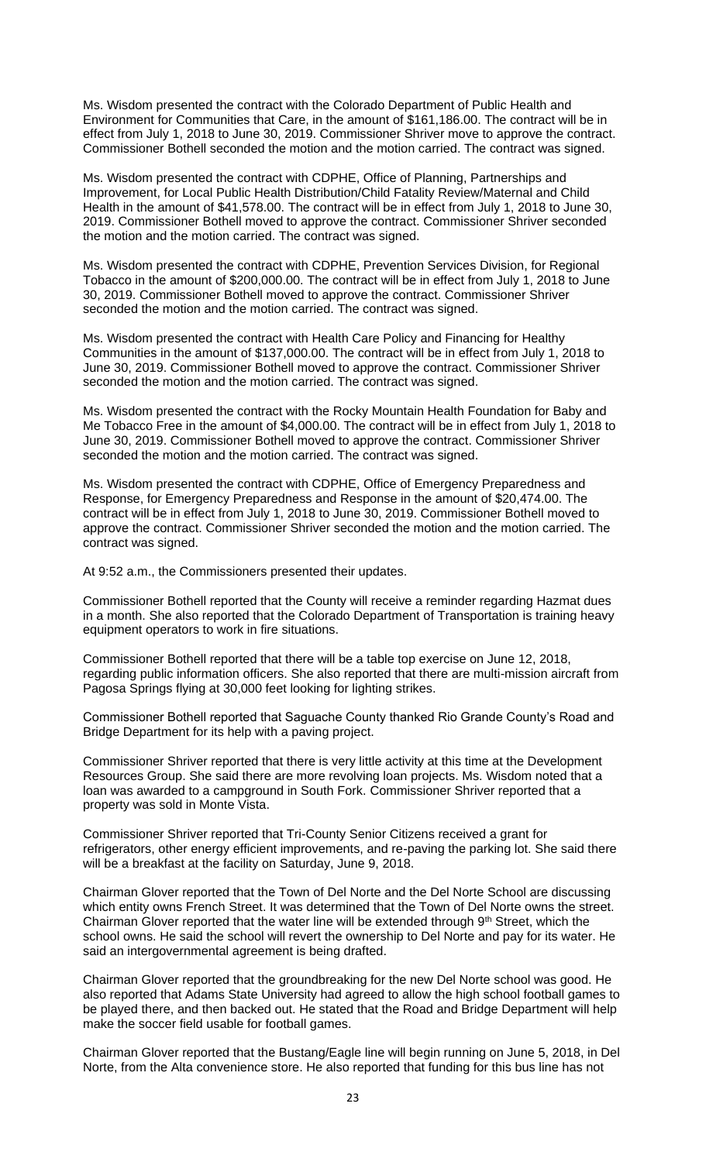Ms. Wisdom presented the contract with the Colorado Department of Public Health and Environment for Communities that Care, in the amount of \$161,186.00. The contract will be in effect from July 1, 2018 to June 30, 2019. Commissioner Shriver move to approve the contract. Commissioner Bothell seconded the motion and the motion carried. The contract was signed.

Ms. Wisdom presented the contract with CDPHE, Office of Planning, Partnerships and Improvement, for Local Public Health Distribution/Child Fatality Review/Maternal and Child Health in the amount of \$41,578.00. The contract will be in effect from July 1, 2018 to June 30, 2019. Commissioner Bothell moved to approve the contract. Commissioner Shriver seconded the motion and the motion carried. The contract was signed.

Ms. Wisdom presented the contract with CDPHE, Prevention Services Division, for Regional Tobacco in the amount of \$200,000.00. The contract will be in effect from July 1, 2018 to June 30, 2019. Commissioner Bothell moved to approve the contract. Commissioner Shriver seconded the motion and the motion carried. The contract was signed.

Ms. Wisdom presented the contract with Health Care Policy and Financing for Healthy Communities in the amount of \$137,000.00. The contract will be in effect from July 1, 2018 to June 30, 2019. Commissioner Bothell moved to approve the contract. Commissioner Shriver seconded the motion and the motion carried. The contract was signed.

Ms. Wisdom presented the contract with the Rocky Mountain Health Foundation for Baby and Me Tobacco Free in the amount of \$4,000.00. The contract will be in effect from July 1, 2018 to June 30, 2019. Commissioner Bothell moved to approve the contract. Commissioner Shriver seconded the motion and the motion carried. The contract was signed.

Ms. Wisdom presented the contract with CDPHE, Office of Emergency Preparedness and Response, for Emergency Preparedness and Response in the amount of \$20,474.00. The contract will be in effect from July 1, 2018 to June 30, 2019. Commissioner Bothell moved to approve the contract. Commissioner Shriver seconded the motion and the motion carried. The contract was signed.

At 9:52 a.m., the Commissioners presented their updates.

Commissioner Bothell reported that the County will receive a reminder regarding Hazmat dues in a month. She also reported that the Colorado Department of Transportation is training heavy equipment operators to work in fire situations.

Commissioner Bothell reported that there will be a table top exercise on June 12, 2018, regarding public information officers. She also reported that there are multi-mission aircraft from Pagosa Springs flying at 30,000 feet looking for lighting strikes.

Commissioner Bothell reported that Saguache County thanked Rio Grande County's Road and Bridge Department for its help with a paving project.

Commissioner Shriver reported that there is very little activity at this time at the Development Resources Group. She said there are more revolving loan projects. Ms. Wisdom noted that a loan was awarded to a campground in South Fork. Commissioner Shriver reported that a property was sold in Monte Vista.

Commissioner Shriver reported that Tri-County Senior Citizens received a grant for refrigerators, other energy efficient improvements, and re-paving the parking lot. She said there will be a breakfast at the facility on Saturday, June 9, 2018.

Chairman Glover reported that the Town of Del Norte and the Del Norte School are discussing which entity owns French Street. It was determined that the Town of Del Norte owns the street. Chairman Glover reported that the water line will be extended through  $9<sup>th</sup>$  Street, which the school owns. He said the school will revert the ownership to Del Norte and pay for its water. He said an intergovernmental agreement is being drafted.

Chairman Glover reported that the groundbreaking for the new Del Norte school was good. He also reported that Adams State University had agreed to allow the high school football games to be played there, and then backed out. He stated that the Road and Bridge Department will help make the soccer field usable for football games.

Chairman Glover reported that the Bustang/Eagle line will begin running on June 5, 2018, in Del Norte, from the Alta convenience store. He also reported that funding for this bus line has not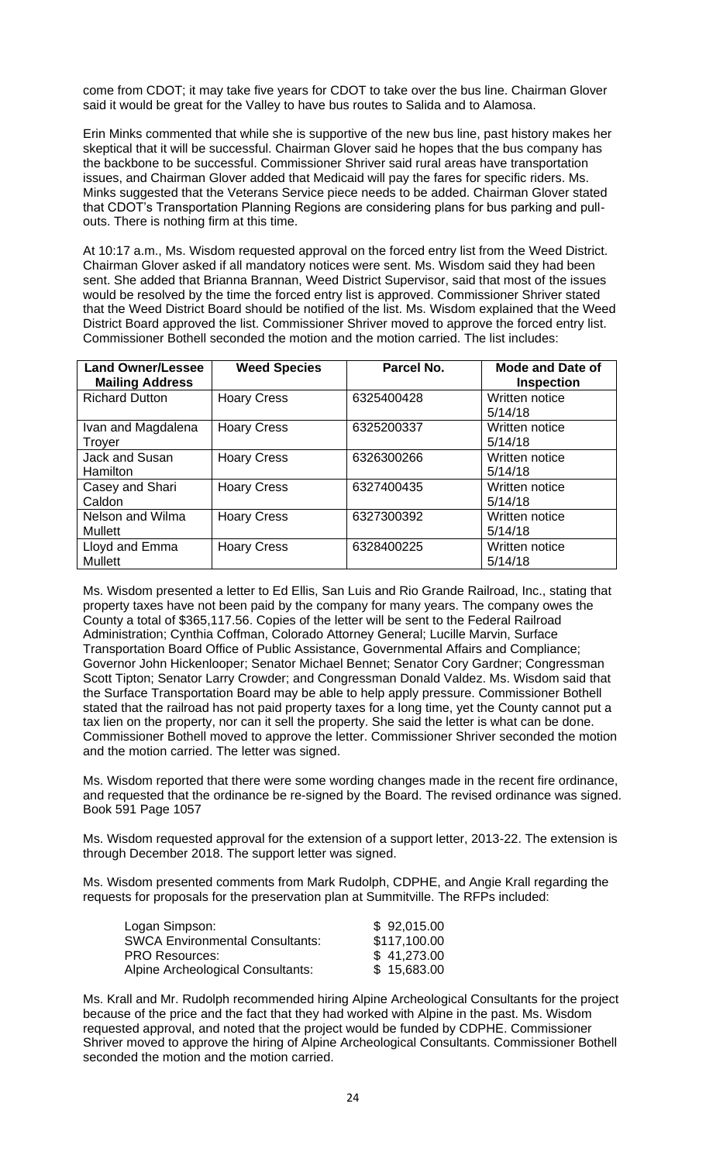come from CDOT; it may take five years for CDOT to take over the bus line. Chairman Glover said it would be great for the Valley to have bus routes to Salida and to Alamosa.

Erin Minks commented that while she is supportive of the new bus line, past history makes her skeptical that it will be successful. Chairman Glover said he hopes that the bus company has the backbone to be successful. Commissioner Shriver said rural areas have transportation issues, and Chairman Glover added that Medicaid will pay the fares for specific riders. Ms. Minks suggested that the Veterans Service piece needs to be added. Chairman Glover stated that CDOT's Transportation Planning Regions are considering plans for bus parking and pullouts. There is nothing firm at this time.

At 10:17 a.m., Ms. Wisdom requested approval on the forced entry list from the Weed District. Chairman Glover asked if all mandatory notices were sent. Ms. Wisdom said they had been sent. She added that Brianna Brannan, Weed District Supervisor, said that most of the issues would be resolved by the time the forced entry list is approved. Commissioner Shriver stated that the Weed District Board should be notified of the list. Ms. Wisdom explained that the Weed District Board approved the list. Commissioner Shriver moved to approve the forced entry list. Commissioner Bothell seconded the motion and the motion carried. The list includes:

| <b>Land Owner/Lessee</b><br><b>Mailing Address</b> | <b>Weed Species</b> | Parcel No. | <b>Mode and Date of</b><br><b>Inspection</b> |
|----------------------------------------------------|---------------------|------------|----------------------------------------------|
| <b>Richard Dutton</b>                              | <b>Hoary Cress</b>  | 6325400428 | Written notice<br>5/14/18                    |
| Ivan and Magdalena<br>Troyer                       | <b>Hoary Cress</b>  | 6325200337 | Written notice<br>5/14/18                    |
| Jack and Susan<br><b>Hamilton</b>                  | <b>Hoary Cress</b>  | 6326300266 | Written notice<br>5/14/18                    |
| Casey and Shari<br>Caldon                          | <b>Hoary Cress</b>  | 6327400435 | Written notice<br>5/14/18                    |
| Nelson and Wilma<br><b>Mullett</b>                 | <b>Hoary Cress</b>  | 6327300392 | Written notice<br>5/14/18                    |
| Lloyd and Emma<br><b>Mullett</b>                   | <b>Hoary Cress</b>  | 6328400225 | Written notice<br>5/14/18                    |

Ms. Wisdom presented a letter to Ed Ellis, San Luis and Rio Grande Railroad, Inc., stating that property taxes have not been paid by the company for many years. The company owes the County a total of \$365,117.56. Copies of the letter will be sent to the Federal Railroad Administration; Cynthia Coffman, Colorado Attorney General; Lucille Marvin, Surface Transportation Board Office of Public Assistance, Governmental Affairs and Compliance; Governor John Hickenlooper; Senator Michael Bennet; Senator Cory Gardner; Congressman Scott Tipton; Senator Larry Crowder; and Congressman Donald Valdez. Ms. Wisdom said that the Surface Transportation Board may be able to help apply pressure. Commissioner Bothell stated that the railroad has not paid property taxes for a long time, yet the County cannot put a tax lien on the property, nor can it sell the property. She said the letter is what can be done. Commissioner Bothell moved to approve the letter. Commissioner Shriver seconded the motion and the motion carried. The letter was signed.

Ms. Wisdom reported that there were some wording changes made in the recent fire ordinance, and requested that the ordinance be re-signed by the Board. The revised ordinance was signed. Book 591 Page 1057

Ms. Wisdom requested approval for the extension of a support letter, 2013-22. The extension is through December 2018. The support letter was signed.

Ms. Wisdom presented comments from Mark Rudolph, CDPHE, and Angie Krall regarding the requests for proposals for the preservation plan at Summitville. The RFPs included:

| Logan Simpson:                         | \$92,015.00  |
|----------------------------------------|--------------|
| <b>SWCA Environmental Consultants:</b> | \$117,100.00 |
| <b>PRO Resources:</b>                  | \$41,273.00  |
| Alpine Archeological Consultants:      | \$15,683.00  |

Ms. Krall and Mr. Rudolph recommended hiring Alpine Archeological Consultants for the project because of the price and the fact that they had worked with Alpine in the past. Ms. Wisdom requested approval, and noted that the project would be funded by CDPHE. Commissioner Shriver moved to approve the hiring of Alpine Archeological Consultants. Commissioner Bothell seconded the motion and the motion carried.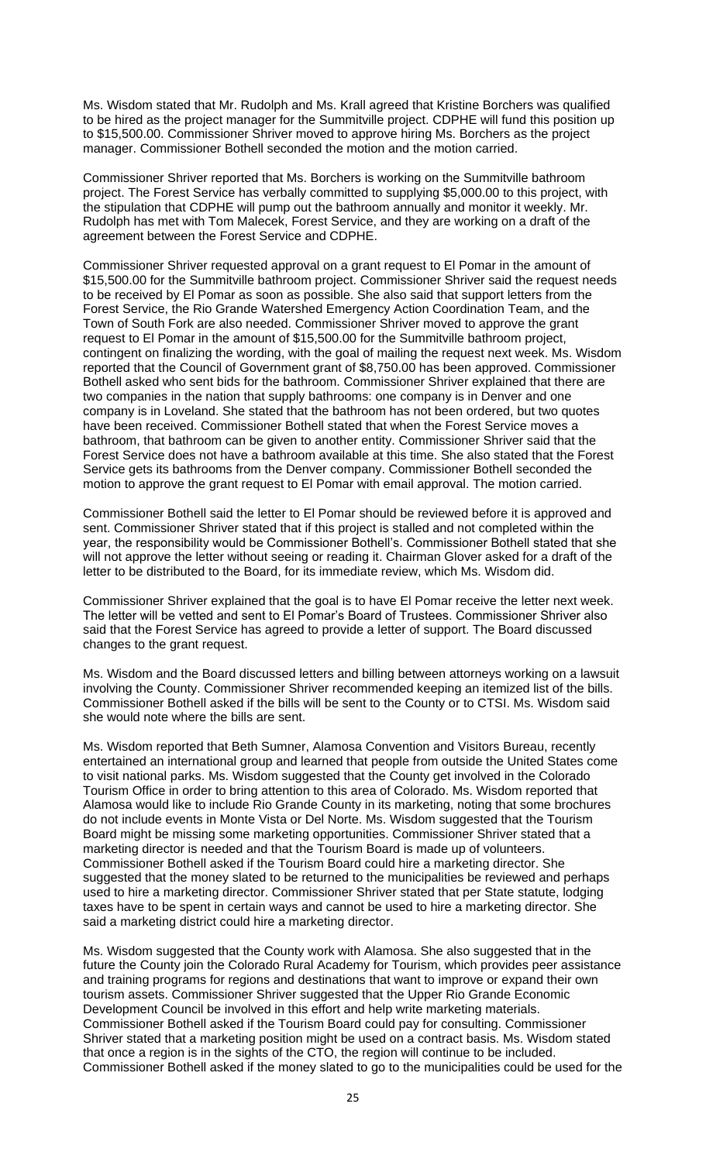Ms. Wisdom stated that Mr. Rudolph and Ms. Krall agreed that Kristine Borchers was qualified to be hired as the project manager for the Summitville project. CDPHE will fund this position up to \$15,500.00. Commissioner Shriver moved to approve hiring Ms. Borchers as the project manager. Commissioner Bothell seconded the motion and the motion carried.

Commissioner Shriver reported that Ms. Borchers is working on the Summitville bathroom project. The Forest Service has verbally committed to supplying \$5,000.00 to this project, with the stipulation that CDPHE will pump out the bathroom annually and monitor it weekly. Mr. Rudolph has met with Tom Malecek, Forest Service, and they are working on a draft of the agreement between the Forest Service and CDPHE.

Commissioner Shriver requested approval on a grant request to El Pomar in the amount of \$15,500.00 for the Summitville bathroom project. Commissioner Shriver said the request needs to be received by El Pomar as soon as possible. She also said that support letters from the Forest Service, the Rio Grande Watershed Emergency Action Coordination Team, and the Town of South Fork are also needed. Commissioner Shriver moved to approve the grant request to El Pomar in the amount of \$15,500.00 for the Summitville bathroom project, contingent on finalizing the wording, with the goal of mailing the request next week. Ms. Wisdom reported that the Council of Government grant of \$8,750.00 has been approved. Commissioner Bothell asked who sent bids for the bathroom. Commissioner Shriver explained that there are two companies in the nation that supply bathrooms: one company is in Denver and one company is in Loveland. She stated that the bathroom has not been ordered, but two quotes have been received. Commissioner Bothell stated that when the Forest Service moves a bathroom, that bathroom can be given to another entity. Commissioner Shriver said that the Forest Service does not have a bathroom available at this time. She also stated that the Forest Service gets its bathrooms from the Denver company. Commissioner Bothell seconded the motion to approve the grant request to El Pomar with email approval. The motion carried.

Commissioner Bothell said the letter to El Pomar should be reviewed before it is approved and sent. Commissioner Shriver stated that if this project is stalled and not completed within the year, the responsibility would be Commissioner Bothell's. Commissioner Bothell stated that she will not approve the letter without seeing or reading it. Chairman Glover asked for a draft of the letter to be distributed to the Board, for its immediate review, which Ms. Wisdom did.

Commissioner Shriver explained that the goal is to have El Pomar receive the letter next week. The letter will be vetted and sent to El Pomar's Board of Trustees. Commissioner Shriver also said that the Forest Service has agreed to provide a letter of support. The Board discussed changes to the grant request.

Ms. Wisdom and the Board discussed letters and billing between attorneys working on a lawsuit involving the County. Commissioner Shriver recommended keeping an itemized list of the bills. Commissioner Bothell asked if the bills will be sent to the County or to CTSI. Ms. Wisdom said she would note where the bills are sent.

Ms. Wisdom reported that Beth Sumner, Alamosa Convention and Visitors Bureau, recently entertained an international group and learned that people from outside the United States come to visit national parks. Ms. Wisdom suggested that the County get involved in the Colorado Tourism Office in order to bring attention to this area of Colorado. Ms. Wisdom reported that Alamosa would like to include Rio Grande County in its marketing, noting that some brochures do not include events in Monte Vista or Del Norte. Ms. Wisdom suggested that the Tourism Board might be missing some marketing opportunities. Commissioner Shriver stated that a marketing director is needed and that the Tourism Board is made up of volunteers. Commissioner Bothell asked if the Tourism Board could hire a marketing director. She suggested that the money slated to be returned to the municipalities be reviewed and perhaps used to hire a marketing director. Commissioner Shriver stated that per State statute, lodging taxes have to be spent in certain ways and cannot be used to hire a marketing director. She said a marketing district could hire a marketing director.

Ms. Wisdom suggested that the County work with Alamosa. She also suggested that in the future the County join the Colorado Rural Academy for Tourism, which provides peer assistance and training programs for regions and destinations that want to improve or expand their own tourism assets. Commissioner Shriver suggested that the Upper Rio Grande Economic Development Council be involved in this effort and help write marketing materials. Commissioner Bothell asked if the Tourism Board could pay for consulting. Commissioner Shriver stated that a marketing position might be used on a contract basis. Ms. Wisdom stated that once a region is in the sights of the CTO, the region will continue to be included. Commissioner Bothell asked if the money slated to go to the municipalities could be used for the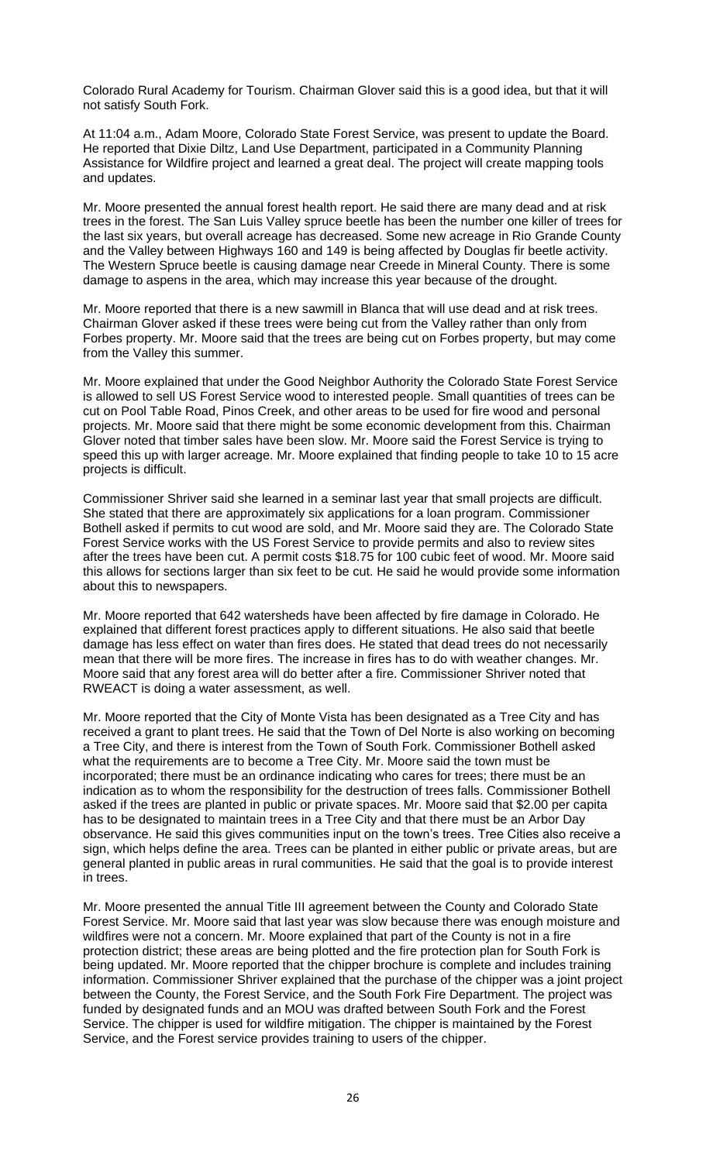Colorado Rural Academy for Tourism. Chairman Glover said this is a good idea, but that it will not satisfy South Fork.

At 11:04 a.m., Adam Moore, Colorado State Forest Service, was present to update the Board. He reported that Dixie Diltz, Land Use Department, participated in a Community Planning Assistance for Wildfire project and learned a great deal. The project will create mapping tools and updates.

Mr. Moore presented the annual forest health report. He said there are many dead and at risk trees in the forest. The San Luis Valley spruce beetle has been the number one killer of trees for the last six years, but overall acreage has decreased. Some new acreage in Rio Grande County and the Valley between Highways 160 and 149 is being affected by Douglas fir beetle activity. The Western Spruce beetle is causing damage near Creede in Mineral County. There is some damage to aspens in the area, which may increase this year because of the drought.

Mr. Moore reported that there is a new sawmill in Blanca that will use dead and at risk trees. Chairman Glover asked if these trees were being cut from the Valley rather than only from Forbes property. Mr. Moore said that the trees are being cut on Forbes property, but may come from the Valley this summer.

Mr. Moore explained that under the Good Neighbor Authority the Colorado State Forest Service is allowed to sell US Forest Service wood to interested people. Small quantities of trees can be cut on Pool Table Road, Pinos Creek, and other areas to be used for fire wood and personal projects. Mr. Moore said that there might be some economic development from this. Chairman Glover noted that timber sales have been slow. Mr. Moore said the Forest Service is trying to speed this up with larger acreage. Mr. Moore explained that finding people to take 10 to 15 acre projects is difficult.

Commissioner Shriver said she learned in a seminar last year that small projects are difficult. She stated that there are approximately six applications for a loan program. Commissioner Bothell asked if permits to cut wood are sold, and Mr. Moore said they are. The Colorado State Forest Service works with the US Forest Service to provide permits and also to review sites after the trees have been cut. A permit costs \$18.75 for 100 cubic feet of wood. Mr. Moore said this allows for sections larger than six feet to be cut. He said he would provide some information about this to newspapers.

Mr. Moore reported that 642 watersheds have been affected by fire damage in Colorado. He explained that different forest practices apply to different situations. He also said that beetle damage has less effect on water than fires does. He stated that dead trees do not necessarily mean that there will be more fires. The increase in fires has to do with weather changes. Mr. Moore said that any forest area will do better after a fire. Commissioner Shriver noted that RWEACT is doing a water assessment, as well.

Mr. Moore reported that the City of Monte Vista has been designated as a Tree City and has received a grant to plant trees. He said that the Town of Del Norte is also working on becoming a Tree City, and there is interest from the Town of South Fork. Commissioner Bothell asked what the requirements are to become a Tree City. Mr. Moore said the town must be incorporated; there must be an ordinance indicating who cares for trees; there must be an indication as to whom the responsibility for the destruction of trees falls. Commissioner Bothell asked if the trees are planted in public or private spaces. Mr. Moore said that \$2.00 per capita has to be designated to maintain trees in a Tree City and that there must be an Arbor Day observance. He said this gives communities input on the town's trees. Tree Cities also receive a sign, which helps define the area. Trees can be planted in either public or private areas, but are general planted in public areas in rural communities. He said that the goal is to provide interest in trees.

Mr. Moore presented the annual Title III agreement between the County and Colorado State Forest Service. Mr. Moore said that last year was slow because there was enough moisture and wildfires were not a concern. Mr. Moore explained that part of the County is not in a fire protection district; these areas are being plotted and the fire protection plan for South Fork is being updated. Mr. Moore reported that the chipper brochure is complete and includes training information. Commissioner Shriver explained that the purchase of the chipper was a joint project between the County, the Forest Service, and the South Fork Fire Department. The project was funded by designated funds and an MOU was drafted between South Fork and the Forest Service. The chipper is used for wildfire mitigation. The chipper is maintained by the Forest Service, and the Forest service provides training to users of the chipper.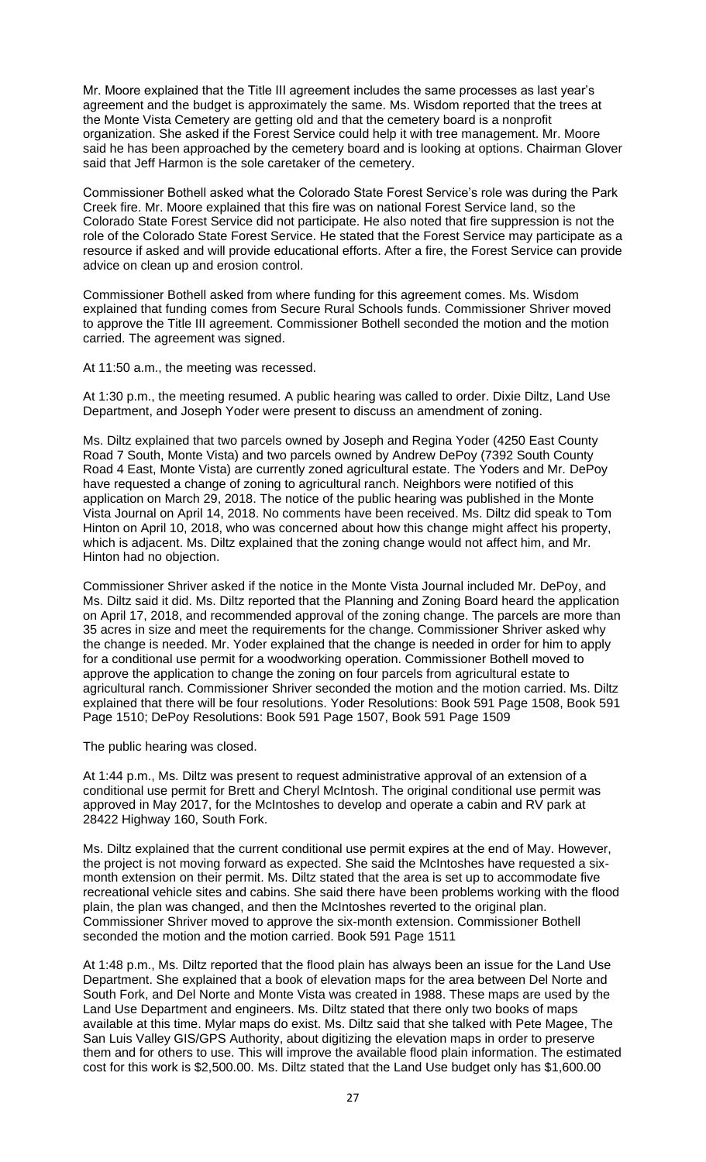Mr. Moore explained that the Title III agreement includes the same processes as last year's agreement and the budget is approximately the same. Ms. Wisdom reported that the trees at the Monte Vista Cemetery are getting old and that the cemetery board is a nonprofit organization. She asked if the Forest Service could help it with tree management. Mr. Moore said he has been approached by the cemetery board and is looking at options. Chairman Glover said that Jeff Harmon is the sole caretaker of the cemetery.

Commissioner Bothell asked what the Colorado State Forest Service's role was during the Park Creek fire. Mr. Moore explained that this fire was on national Forest Service land, so the Colorado State Forest Service did not participate. He also noted that fire suppression is not the role of the Colorado State Forest Service. He stated that the Forest Service may participate as a resource if asked and will provide educational efforts. After a fire, the Forest Service can provide advice on clean up and erosion control.

Commissioner Bothell asked from where funding for this agreement comes. Ms. Wisdom explained that funding comes from Secure Rural Schools funds. Commissioner Shriver moved to approve the Title III agreement. Commissioner Bothell seconded the motion and the motion carried. The agreement was signed.

At 11:50 a.m., the meeting was recessed.

At 1:30 p.m., the meeting resumed. A public hearing was called to order. Dixie Diltz, Land Use Department, and Joseph Yoder were present to discuss an amendment of zoning.

Ms. Diltz explained that two parcels owned by Joseph and Regina Yoder (4250 East County Road 7 South, Monte Vista) and two parcels owned by Andrew DePoy (7392 South County Road 4 East, Monte Vista) are currently zoned agricultural estate. The Yoders and Mr. DePoy have requested a change of zoning to agricultural ranch. Neighbors were notified of this application on March 29, 2018. The notice of the public hearing was published in the Monte Vista Journal on April 14, 2018. No comments have been received. Ms. Diltz did speak to Tom Hinton on April 10, 2018, who was concerned about how this change might affect his property, which is adjacent. Ms. Diltz explained that the zoning change would not affect him, and Mr. Hinton had no objection.

Commissioner Shriver asked if the notice in the Monte Vista Journal included Mr. DePoy, and Ms. Diltz said it did. Ms. Diltz reported that the Planning and Zoning Board heard the application on April 17, 2018, and recommended approval of the zoning change. The parcels are more than 35 acres in size and meet the requirements for the change. Commissioner Shriver asked why the change is needed. Mr. Yoder explained that the change is needed in order for him to apply for a conditional use permit for a woodworking operation. Commissioner Bothell moved to approve the application to change the zoning on four parcels from agricultural estate to agricultural ranch. Commissioner Shriver seconded the motion and the motion carried. Ms. Diltz explained that there will be four resolutions. Yoder Resolutions: Book 591 Page 1508, Book 591 Page 1510; DePoy Resolutions: Book 591 Page 1507, Book 591 Page 1509

The public hearing was closed.

At 1:44 p.m., Ms. Diltz was present to request administrative approval of an extension of a conditional use permit for Brett and Cheryl McIntosh. The original conditional use permit was approved in May 2017, for the McIntoshes to develop and operate a cabin and RV park at 28422 Highway 160, South Fork.

Ms. Diltz explained that the current conditional use permit expires at the end of May. However, the project is not moving forward as expected. She said the McIntoshes have requested a sixmonth extension on their permit. Ms. Diltz stated that the area is set up to accommodate five recreational vehicle sites and cabins. She said there have been problems working with the flood plain, the plan was changed, and then the McIntoshes reverted to the original plan. Commissioner Shriver moved to approve the six-month extension. Commissioner Bothell seconded the motion and the motion carried. Book 591 Page 1511

At 1:48 p.m., Ms. Diltz reported that the flood plain has always been an issue for the Land Use Department. She explained that a book of elevation maps for the area between Del Norte and South Fork, and Del Norte and Monte Vista was created in 1988. These maps are used by the Land Use Department and engineers. Ms. Diltz stated that there only two books of maps available at this time. Mylar maps do exist. Ms. Diltz said that she talked with Pete Magee, The San Luis Valley GIS/GPS Authority, about digitizing the elevation maps in order to preserve them and for others to use. This will improve the available flood plain information. The estimated cost for this work is \$2,500.00. Ms. Diltz stated that the Land Use budget only has \$1,600.00